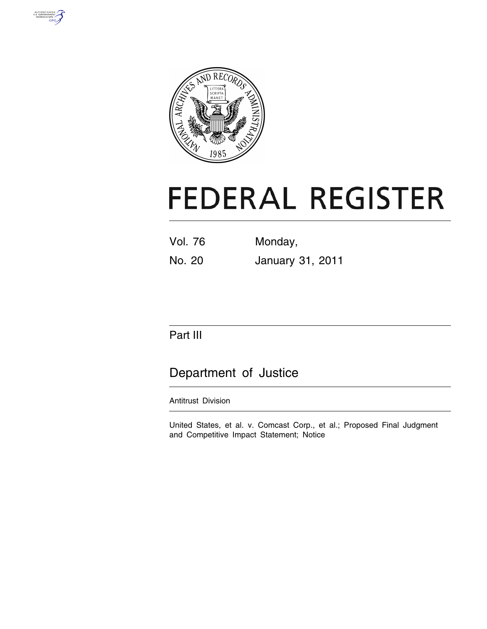



# **FEDERAL REGISTER**

| Vol. 76 | Monday, |
|---------|---------|
|         |         |

No. 20 January 31, 2011

## Part III

## Department of Justice

### Antitrust Division

United States, et al. v. Comcast Corp., et al.; Proposed Final Judgment and Competitive Impact Statement; Notice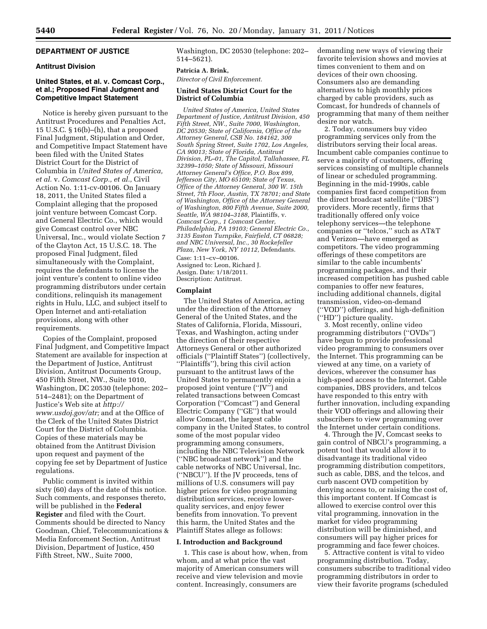#### **DEPARTMENT OF JUSTICE**

#### **Antitrust Division**

#### **United States, et al. v. Comcast Corp., et al.; Proposed Final Judgment and Competitive Impact Statement**

Notice is hereby given pursuant to the Antitrust Procedures and Penalties Act, 15 U.S.C.  $\S 16(b)$ –(h), that a proposed Final Judgment, Stipulation and Order, and Competitive Impact Statement have been filed with the United States District Court for the District of Columbia in *United States of America, et al.* v. *Comcast Corp., et al.,* Civil Action No. 1:11-cv-00106. On January 18, 2011, the United States filed a Complaint alleging that the proposed joint venture between Comcast Corp. and General Electric Co., which would give Comcast control over NBC Universal, Inc., would violate Section 7 of the Clayton Act, 15 U.S.C. 18. The proposed Final Judgment, filed simultaneously with the Complaint, requires the defendants to license the joint venture's content to online video programming distributors under certain conditions, relinquish its management rights in Hulu, LLC, and subject itself to Open Internet and anti-retaliation provisions, along with other requirements.

Copies of the Complaint, proposed Final Judgment, and Competitive Impact Statement are available for inspection at the Department of Justice, Antitrust Division, Antitrust Documents Group, 450 Fifth Street, NW., Suite 1010, Washington, DC 20530 (telephone: 202– 514–2481); on the Department of Justice's Web site at *[http://](http://www.usdoj.gov/atr)  [www.usdoj.gov/atr;](http://www.usdoj.gov/atr)* and at the Office of the Clerk of the United States District Court for the District of Columbia. Copies of these materials may be obtained from the Antitrust Division upon request and payment of the copying fee set by Department of Justice regulations.

Public comment is invited within sixty (60) days of the date of this notice. Such comments, and responses thereto, will be published in the **Federal Register** and filed with the Court. Comments should be directed to Nancy Goodman, Chief, Telecommunications & Media Enforcement Section, Antitrust Division, Department of Justice, 450 Fifth Street, NW., Suite 7000,

Washington, DC 20530 (telephone: 202– 514–5621).

#### **Patricia A. Brink,**

*Director of Civil Enforcement.* 

#### **United States District Court for the District of Columbia**

*United States of America, United States Department of Justice, Antitrust Division, 450 Fifth Street, NW., Suite 7000, Washington, DC 20530; State of California, Office of the Attorney General, CSB No. 184162, 300 South Spring Street, Suite 1702, Los Angeles, CA 90013; State of Florida, Antitrust Division, PL–01, The Capitol, Tallahassee, FL 32399–1050; State of Missouri, Missouri Attorney General's Office, P.O. Box 899, Jefferson City, MO 65109; State of Texas, Office of the Attorney General, 300 W. 15th Street, 7th Floor, Austin, TX 78701; and State of Washington, Office of the Attorney General of Washington, 800 Fifth Avenue, Suite 2000, Seattle, WA 98104–3188,* Plaintiffs, v. *Comcast Corp., 1 Comcast Center, Philadelphia, PA 19103; General Electric Co., 3135 Easton Turnpike, Fairfield, CT 06828; and NBC Universal, Inc., 30 Rockefeller Plaza, New York, NY 10112,* Defendants. Case: 1:11–cv–00106. Assigned to: Leon, Richard J. Assign. Date: 1/18/2011. Description: Antitrust.

#### **Complaint**

The United States of America, acting under the direction of the Attorney General of the United States, and the States of California, Florida, Missouri, Texas, and Washington, acting under the direction of their respective Attorneys General or other authorized officials (''Plaintiff States'') (collectively, ''Plaintiffs''), bring this civil action pursuant to the antitrust laws of the United States to permanently enjoin a proposed joint venture (''JV'') and related transactions between Comcast Corporation (''Comcast'') and General Electric Company (''GE'') that would allow Comcast, the largest cable company in the United States, to control some of the most popular video programming among consumers, including the NBC Television Network (''NBC broadcast network'') and the cable networks of NBC Universal, Inc. (''NBCU''). If the JV proceeds, tens of millions of U.S. consumers will pay higher prices for video programming distribution services, receive lowerquality services, and enjoy fewer benefits from innovation. To prevent this harm, the United States and the Plaintiff States allege as follows:

#### **I. Introduction and Background**

1. This case is about how, when, from whom, and at what price the vast majority of American consumers will receive and view television and movie content. Increasingly, consumers are

demanding new ways of viewing their favorite television shows and movies at times convenient to them and on devices of their own choosing. Consumers also are demanding alternatives to high monthly prices charged by cable providers, such as Comcast, for hundreds of channels of programming that many of them neither desire nor watch.

2. Today, consumers buy video programming services only from the distributors serving their local areas. Incumbent cable companies continue to serve a majority of customers, offering services consisting of multiple channels of linear or scheduled programming. Beginning in the mid-1990s, cable companies first faced competition from the direct broadcast satellite (''DBS'') providers. More recently, firms that traditionally offered only voice telephony services—the telephone companies or ''telcos,'' such as AT&T and Verizon—have emerged as competitors. The video programming offerings of these competitors are similar to the cable incumbents' programming packages, and their increased competition has pushed cable companies to offer new features, including additional channels, digital transmission, video-on-demand (''VOD'') offerings, and high-definition (''HD'') picture quality.

3. Most recently, online video programming distributors (''OVDs'') have begun to provide professional video programming to consumers over the Internet. This programming can be viewed at any time, on a variety of devices, wherever the consumer has high-speed access to the Internet. Cable companies, DBS providers, and telcos have responded to this entry with further innovation, including expanding their VOD offerings and allowing their subscribers to view programming over the Internet under certain conditions.

4. Through the JV, Comcast seeks to gain control of NBCU's programming, a potent tool that would allow it to disadvantage its traditional video programming distribution competitors, such as cable, DBS, and the telcos, and curb nascent OVD competition by denying access to, or raising the cost of, this important content. If Comcast is allowed to exercise control over this vital programming, innovation in the market for video programming distribution will be diminished, and consumers will pay higher prices for programming and face fewer choices.

5. Attractive content is vital to video programming distribution. Today, consumers subscribe to traditional video programming distributors in order to view their favorite programs (scheduled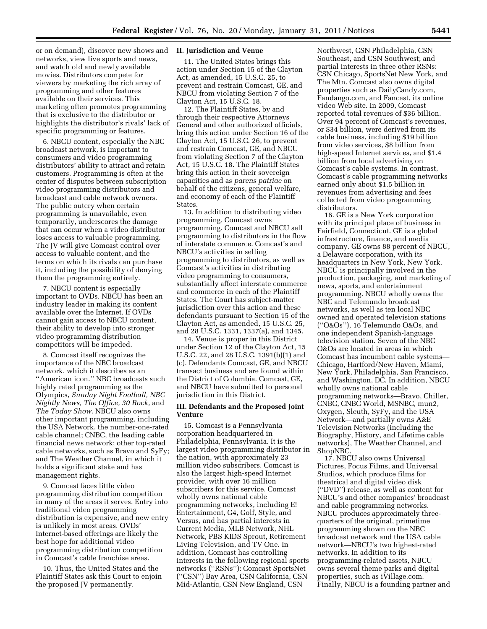or on demand), discover new shows and networks, view live sports and news, and watch old and newly available movies. Distributors compete for viewers by marketing the rich array of programming and other features available on their services. This marketing often promotes programming that is exclusive to the distributor or highlights the distributor's rivals' lack of specific programming or features.

6. NBCU content, especially the NBC broadcast network, is important to consumers and video programming distributors' ability to attract and retain customers. Programming is often at the center of disputes between subscription video programming distributors and broadcast and cable network owners. The public outcry when certain programming is unavailable, even temporarily, underscores the damage that can occur when a video distributor loses access to valuable programming. The JV will give Comcast control over access to valuable content, and the terms on which its rivals can purchase it, including the possibility of denying them the programming entirely.

7. NBCU content is especially important to OVDs. NBCU has been an industry leader in making its content available over the Internet. If OVDs cannot gain access to NBCU content, their ability to develop into stronger video programming distribution competitors will be impeded.

8. Comcast itself recognizes the importance of the NBC broadcast network, which it describes as an ''American icon.'' NBC broadcasts such highly rated programming as the Olympics, *Sunday Night Football, NBC Nightly News, The Office, 30 Rock,* and *The Today Show.* NBCU also owns other important programming, including the USA Network, the number-one-rated cable channel; CNBC, the leading cable financial news network; other top-rated cable networks, such as Bravo and SyFy; and The Weather Channel, in which it holds a significant stake and has management rights.

9. Comcast faces little video programming distribution competition in many of the areas it serves. Entry into traditional video programming distribution is expensive, and new entry is unlikely in most areas. OVDs' Internet-based offerings are likely the best hope for additional video programming distribution competition in Comcast's cable franchise areas.

10. Thus, the United States and the Plaintiff States ask this Court to enjoin the proposed JV permanently.

#### **II. Jurisdiction and Venue**

11. The United States brings this action under Section 15 of the Clayton Act, as amended, 15 U.S.C. 25, to prevent and restrain Comcast, GE, and NBCU from violating Section 7 of the Clayton Act, 15 U.S.C. 18.

12. The Plaintiff States, by and through their respective Attorneys General and other authorized officials, bring this action under Section 16 of the Clayton Act, 15 U.S.C. 26, to prevent and restrain Comcast, GE, and NBCU from violating Section 7 of the Clayton Act, 15 U.S.C. 18. The Plaintiff States bring this action in their sovereign capacities and as *parens patriae* on behalf of the citizens, general welfare, and economy of each of the Plaintiff States.

13. In addition to distributing video programming, Comcast owns programming. Comcast and NBCU sell programming to distributors in the flow of interstate commerce. Comcast's and NBCU's activities in selling programming to distributors, as well as Comcast's activities in distributing video programming to consumers, substantially affect interstate commerce and commerce in each of the Plaintiff States. The Court has subject-matter jurisdiction over this action and these defendants pursuant to Section 15 of the Clayton Act, as amended, 15 U.S.C. 25, and 28 U.S.C. 1331, 1337(a), and 1345.

14. Venue is proper in this District under Section 12 of the Clayton Act, 15 U.S.C. 22, and 28 U.S.C. 1391(b)(1) and (c). Defendants Comcast, GE, and NBCU transact business and are found within the District of Columbia. Comcast, GE, and NBCU have submitted to personal jurisdiction in this District.

#### **III. Defendants and the Proposed Joint Venture**

15. Comcast is a Pennsylvania corporation headquartered in Philadelphia, Pennsylvania. It is the largest video programming distributor in the nation, with approximately 23 million video subscribers. Comcast is also the largest high-speed Internet provider, with over 16 million subscribers for this service. Comcast wholly owns national cable programming networks, including E! Entertainment, G4, Golf, Style, and Versus, and has partial interests in Current Media, MLB Network, NHL Network, PBS KIDS Sprout, Retirement Living Television, and TV One. In addition, Comcast has controlling interests in the following regional sports networks (''RSNs''): Comcast SportsNet (''CSN'') Bay Area, CSN California, CSN Mid-Atlantic, CSN New England, CSN

Northwest, CSN Philadelphia, CSN Southeast, and CSN Southwest; and partial interests in three other RSNs: CSN Chicago, SportsNet New York, and The Mtn. Comcast also owns digital properties such as DailyCandy.com, Fandango.com, and Fancast, its online video Web site. In 2009, Comcast reported total revenues of \$36 billion. Over 94 percent of Comcast's revenues, or \$34 billion, were derived from its cable business, including \$19 billion from video services, \$8 billion from high-speed Internet services, and \$1.4 billion from local advertising on Comcast's cable systems. In contrast, Comcast's cable programming networks earned only about \$1.5 billion in revenues from advertising and fees collected from video programming distributors.

16. GE is a New York corporation with its principal place of business in Fairfield, Connecticut. GE is a global infrastructure, finance, and media company. GE owns 88 percent of NBCU, a Delaware corporation, with its headquarters in New York, New York. NBCU is principally involved in the production, packaging, and marketing of news, sports, and entertainment programming. NBCU wholly owns the NBC and Telemundo broadcast networks, as well as ten local NBC owned and operated television stations (''O&Os''), 16 Telemundo O&Os, and one independent Spanish-language television station. Seven of the NBC O&Os are located in areas in which Comcast has incumbent cable systems— Chicago, Hartford/New Haven, Miami, New York, Philadelphia, San Francisco, and Washington, DC. In addition, NBCU wholly owns national cable programming networks—Bravo, Chiller, CNBC, CNBC World, MSNBC, mun2, Oxygen, Sleuth, SyFy, and the USA Network—and partially owns A&E Television Networks (including the Biography, History, and Lifetime cable networks), The Weather Channel, and ShopNBC.

17. NBCU also owns Universal Pictures, Focus Films, and Universal Studios, which produce films for theatrical and digital video disk (''DVD'') release, as well as content for NBCU's and other companies' broadcast and cable programming networks. NBCU produces approximately threequarters of the original, primetime programming shown on the NBC broadcast network and the USA cable network—NBCU's two highest-rated networks. In addition to its programming-related assets, NBCU owns several theme parks and digital properties, such as iVillage.com. Finally, NBCU is a founding partner and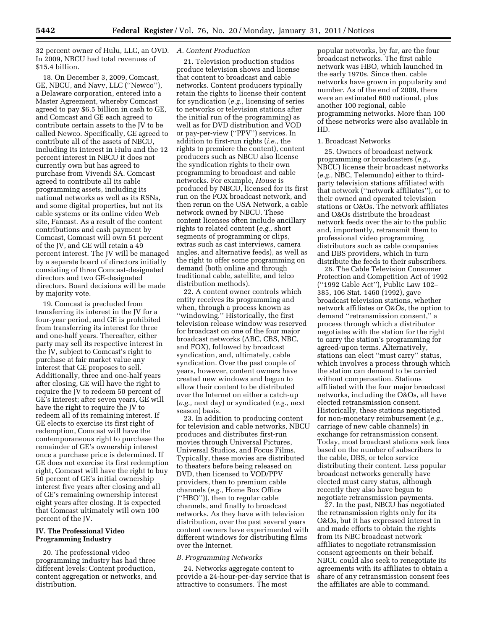32 percent owner of Hulu, LLC, an OVD. *A. Content Production*  In 2009, NBCU had total revenues of \$15.4 billion.

18. On December 3, 2009, Comcast, GE, NBCU, and Navy, LLC (''Newco''), a Delaware corporation, entered into a Master Agreement, whereby Comcast agreed to pay \$6.5 billion in cash to GE, and Comcast and GE each agreed to contribute certain assets to the JV to be called Newco. Specifically, GE agreed to contribute all of the assets of NBCU, including its interest in Hulu and the 12 percent interest in NBCU it does not currently own but has agreed to purchase from Vivendi SA. Comcast agreed to contribute all its cable programming assets, including its national networks as well as its RSNs, and some digital properties, but not its cable systems or its online video Web site, Fancast. As a result of the content contributions and cash payment by Comcast, Comcast will own 51 percent of the JV, and GE will retain a 49 percent interest. The JV will be managed by a separate board of directors initially consisting of three Comcast-designated directors and two GE-designated directors. Board decisions will be made by majority vote.

19. Comcast is precluded from transferring its interest in the JV for a four-year period, and GE is prohibited from transferring its interest for three and one-half years. Thereafter, either party may sell its respective interest in the JV, subject to Comcast's right to purchase at fair market value any interest that GE proposes to sell. Additionally, three and one-half years after closing, GE will have the right to require the JV to redeem 50 percent of GE's interest; after seven years, GE will have the right to require the JV to redeem all of its remaining interest. If GE elects to exercise its first right of redemption, Comcast will have the contemporaneous right to purchase the remainder of GE's ownership interest once a purchase price is determined. If GE does not exercise its first redemption right, Comcast will have the right to buy 50 percent of GE's initial ownership interest five years after closing and all of GE's remaining ownership interest eight years after closing. It is expected that Comcast ultimately will own 100 percent of the JV.

#### **IV. The Professional Video Programming Industry**

20. The professional video programming industry has had three different levels: Content production, content aggregation or networks, and distribution.

21. Television production studios produce television shows and license that content to broadcast and cable networks. Content producers typically retain the rights to license their content for syndication (*e.g.,* licensing of series to networks or television stations after the initial run of the programming) as well as for DVD distribution and VOD or pay-per-view (''PPV'') services. In addition to first-run rights (*i.e.,* the rights to premiere the content), content producers such as NBCU also license the syndication rights to their own programming to broadcast and cable networks. For example, *House* is produced by NBCU, licensed for its first run on the FOX broadcast network, and then rerun on the USA Network, a cable network owned by NBCU. These content licenses often include ancillary rights to related content (*e.g.,* short segments of programming or clips, extras such as cast interviews, camera angles, and alternative feeds), as well as the right to offer some programming on demand (both online and through traditional cable, satellite, and telco distribution methods).

22. A content owner controls which entity receives its programming and when, through a process known as ''windowing.'' Historically, the first television release window was reserved for broadcast on one of the four major broadcast networks (ABC, CBS, NBC, and FOX), followed by broadcast syndication, and, ultimately, cable syndication. Over the past couple of years, however, content owners have created new windows and begun to allow their content to be distributed over the Internet on either a catch-up (*e.g.,* next day) or syndicated (*e.g.,* next season) basis.

23. In addition to producing content for television and cable networks, NBCU produces and distributes first-run movies through Universal Pictures, Universal Studios, and Focus Films. Typically, these movies are distributed to theaters before being released on DVD, then licensed to VOD/PPV providers, then to premium cable channels (*e.g.,* Home Box Office (''HBO'')), then to regular cable channels, and finally to broadcast networks. As they have with television distribution, over the past several years content owners have experimented with different windows for distributing films over the Internet.

#### *B. Programming Networks*

24. Networks aggregate content to provide a 24-hour-per-day service that is attractive to consumers. The most

popular networks, by far, are the four broadcast networks. The first cable network was HBO, which launched in the early 1970s. Since then, cable networks have grown in popularity and number. As of the end of 2009, there were an estimated 600 national, plus another 100 regional, cable programming networks. More than 100 of these networks were also available in HD.

#### 1. Broadcast Networks

25. Owners of broadcast network programming or broadcasters (*e.g.,*  NBCU) license their broadcast networks (*e.g.,* NBC, Telemundo) either to thirdparty television stations affiliated with that network (''network affiliates''), or to their owned and operated television stations or O&Os. The network affiliates and O&Os distribute the broadcast network feeds over the air to the public and, importantly, retransmit them to professional video programming distributors such as cable companies and DBS providers, which in turn distribute the feeds to their subscribers.

26. The Cable Television Consumer Protection and Competition Act of 1992 (''1992 Cable Act''), Public Law 102– 385, 106 Stat. 1460 (1992), gave broadcast television stations, whether network affiliates or O&Os, the option to demand ''retransmission consent,'' a process through which a distributor negotiates with the station for the right to carry the station's programming for agreed-upon terms. Alternatively, stations can elect ''must carry'' status, which involves a process through which the station can demand to be carried without compensation. Stations affiliated with the four major broadcast networks, including the O&Os, all have elected retransmission consent. Historically, these stations negotiated for non-monetary reimbursement (*e.g.,*  carriage of new cable channels) in exchange for retransmission consent. Today, most broadcast stations seek fees based on the number of subscribers to the cable, DBS, or telco service distributing their content. Less popular broadcast networks generally have elected must carry status, although recently they also have begun to negotiate retransmission payments.

27. In the past, NBCU has negotiated the retransmission rights only for its O&Os, but it has expressed interest in and made efforts to obtain the rights from its NBC broadcast network affiliates to negotiate retransmission consent agreements on their behalf. NBCU could also seek to renegotiate its agreements with its affiliates to obtain a share of any retransmission consent fees the affiliates are able to command.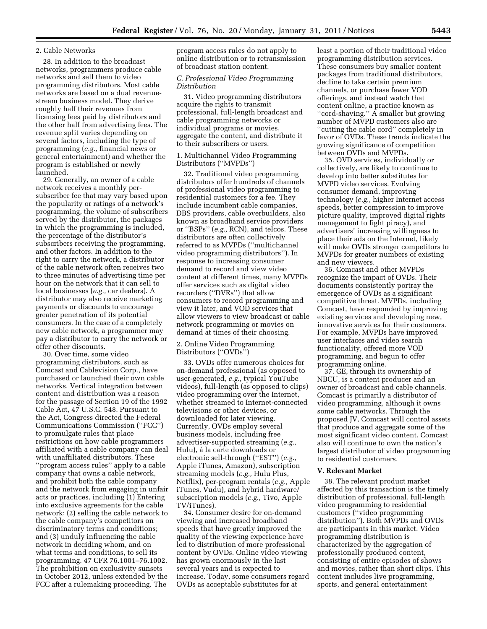#### 2. Cable Networks

28. In addition to the broadcast networks, programmers produce cable networks and sell them to video programming distributors. Most cable networks are based on a dual revenuestream business model. They derive roughly half their revenues from licensing fees paid by distributors and the other half from advertising fees. The revenue split varies depending on several factors, including the type of programming (*e.g.,* financial news or general entertainment) and whether the program is established or newly launched.

29. Generally, an owner of a cable network receives a monthly persubscriber fee that may vary based upon the popularity or ratings of a network's programming, the volume of subscribers served by the distributor, the packages in which the programming is included, the percentage of the distributor's subscribers receiving the programming, and other factors. In addition to the right to carry the network, a distributor of the cable network often receives two to three minutes of advertising time per hour on the network that it can sell to local businesses (*e.g.,* car dealers). A distributor may also receive marketing payments or discounts to encourage greater penetration of its potential consumers. In the case of a completely new cable network, a programmer may pay a distributor to carry the network or offer other discounts.

30. Over time, some video programming distributors, such as Comcast and Cablevision Corp., have purchased or launched their own cable networks. Vertical integration between content and distribution was a reason for the passage of Section 19 of the 1992 Cable Act, 47 U.S.C. 548. Pursuant to the Act, Congress directed the Federal Communications Commission (''FCC'') to promulgate rules that place restrictions on how cable programmers affiliated with a cable company can deal with unaffiliated distributors. These ''program access rules'' apply to a cable company that owns a cable network, and prohibit both the cable company and the network from engaging in unfair acts or practices, including (1) Entering into exclusive agreements for the cable network; (2) selling the cable network to the cable company's competitors on discriminatory terms and conditions; and (3) unduly influencing the cable network in deciding whom, and on what terms and conditions, to sell its programming. 47 CFR 76.1001–76.1002. The prohibition on exclusivity sunsets in October 2012, unless extended by the FCC after a rulemaking proceeding. The

program access rules do not apply to online distribution or to retransmission of broadcast station content.

#### *C. Professional Video Programming Distribution*

31. Video programming distributors acquire the rights to transmit professional, full-length broadcast and cable programming networks or individual programs or movies, aggregate the content, and distribute it to their subscribers or users.

#### 1. Multichannel Video Programming Distributors (''MVPDs'')

32. Traditional video programming distributors offer hundreds of channels of professional video programming to residential customers for a fee. They include incumbent cable companies, DBS providers, cable overbuilders, also known as broadband service providers or ''BSPs'' (*e.g.,* RCN), and telcos. These distributors are often collectively referred to as MVPDs (''multichannel video programming distributors''). In response to increasing consumer demand to record and view video content at different times, many MVPDs offer services such as digital video recorders (''DVRs'') that allow consumers to record programming and view it later, and VOD services that allow viewers to view broadcast or cable network programming or movies on demand at times of their choosing.

#### 2. Online Video Programming Distributors (''OVDs'')

33. OVDs offer numerous choices for on-demand professional (as opposed to user-generated, *e.g.,* typical YouTube videos), full-length (as opposed to clips) video programming over the Internet, whether streamed to Internet-connected televisions or other devices, or downloaded for later viewing. Currently, OVDs employ several business models, including free advertiser-supported streaming (*e.g.,*  Hulu), á la carte downloads or electronic sell-through (''EST'') (*e.g.,*  Apple iTunes, Amazon), subscription streaming models (*e.g.,* Hulu Plus, Netflix), per-program rentals (*e.g.,* Apple iTunes, Vudu), and hybrid hardware/ subscription models (*e.g.,* Tivo, Apple TV/iTunes).

34. Consumer desire for on-demand viewing and increased broadband speeds that have greatly improved the quality of the viewing experience have led to distribution of more professional content by OVDs. Online video viewing has grown enormously in the last several years and is expected to increase. Today, some consumers regard OVDs as acceptable substitutes for at

least a portion of their traditional video programming distribution services. These consumers buy smaller content packages from traditional distributors, decline to take certain premium channels, or purchase fewer VOD offerings, and instead watch that content online, a practice known as ''cord-shaving.'' A smaller but growing number of MVPD customers also are ''cutting the cable cord'' completely in favor of OVDs. These trends indicate the growing significance of competition between OVDs and MVPDs.

35. OVD services, individually or collectively, are likely to continue to develop into better substitutes for MVPD video services. Evolving consumer demand, improving technology (*e.g.,* higher Internet access speeds, better compression to improve picture quality, improved digital rights management to fight piracy), and advertisers' increasing willingness to place their ads on the Internet, likely will make OVDs stronger competitors to MVPDs for greater numbers of existing and new viewers.

36. Comcast and other MVPDs recognize the impact of OVDs. Their documents consistently portray the emergence of OVDs as a significant competitive threat. MVPDs, including Comcast, have responded by improving existing services and developing new, innovative services for their customers. For example, MVPDs have improved user interfaces and video search functionality, offered more VOD programming, and begun to offer programming online.

37. GE, through its ownership of NBCU, is a content producer and an owner of broadcast and cable channels. Comcast is primarily a distributor of video programming, although it owns some cable networks. Through the proposed JV, Comcast will control assets that produce and aggregate some of the most significant video content. Comcast also will continue to own the nation's largest distributor of video programming to residential customers.

#### **V. Relevant Market**

38. The relevant product market affected by this transaction is the timely distribution of professional, full-length video programming to residential customers (''video programming distribution''). Both MVPDs and OVDs are participants in this market. Video programming distribution is characterized by the aggregation of professionally produced content, consisting of entire episodes of shows and movies, rather than short clips. This content includes live programming, sports, and general entertainment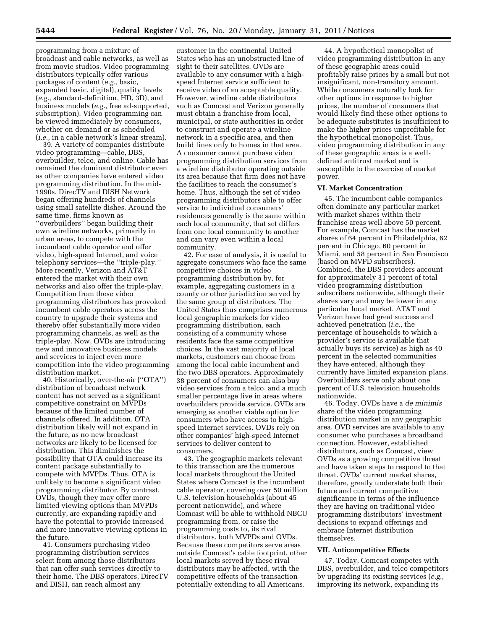programming from a mixture of broadcast and cable networks, as well as from movie studios. Video programming distributors typically offer various packages of content (*e.g.,* basic, expanded basic, digital), quality levels (*e.g.,* standard-definition, HD, 3D), and business models (*e.g.,* free ad-supported, subscription). Video programming can be viewed immediately by consumers, whether on demand or as scheduled (*i.e.,* in a cable network's linear stream).

39. A variety of companies distribute video programming—cable, DBS, overbuilder, telco, and online. Cable has remained the dominant distributor even as other companies have entered video programming distribution. In the mid-1990s, DirecTV and DISH Network began offering hundreds of channels using small satellite dishes. Around the same time, firms known as ''overbuilders'' began building their own wireline networks, primarily in urban areas, to compete with the incumbent cable operator and offer video, high-speed Internet, and voice telephony services—the ''triple-play.'' More recently, Verizon and AT&T entered the market with their own networks and also offer the triple-play. Competition from these video programming distributors has provoked incumbent cable operators across the country to upgrade their systems and thereby offer substantially more video programming channels, as well as the triple-play. Now, OVDs are introducing new and innovative business models and services to inject even more competition into the video programming distribution market.

40. Historically, over-the-air (''OTA'') distribution of broadcast network content has not served as a significant competitive constraint on MVPDs because of the limited number of channels offered. In addition, OTA distribution likely will not expand in the future, as no new broadcast networks are likely to be licensed for distribution. This diminishes the possibility that OTA could increase its content package substantially to compete with MVPDs. Thus, OTA is unlikely to become a significant video programming distributor. By contrast, OVDs, though they may offer more limited viewing options than MVPDs currently, are expanding rapidly and have the potential to provide increased and more innovative viewing options in the future.

41. Consumers purchasing video programming distribution services select from among those distributors that can offer such services directly to their home. The DBS operators, DirecTV and DISH, can reach almost any

customer in the continental United States who has an unobstructed line of sight to their satellites. OVDs are available to any consumer with a highspeed Internet service sufficient to receive video of an acceptable quality. However, wireline cable distributors such as Comcast and Verizon generally must obtain a franchise from local, municipal, or state authorities in order to construct and operate a wireline network in a specific area, and then build lines only to homes in that area. A consumer cannot purchase video programming distribution services from a wireline distributor operating outside its area because that firm does not have the facilities to reach the consumer's home. Thus, although the set of video programming distributors able to offer service to individual consumers' residences generally is the same within each local community, that set differs from one local community to another and can vary even within a local community.

42. For ease of analysis, it is useful to aggregate consumers who face the same competitive choices in video programming distribution by, for example, aggregating customers in a county or other jurisdiction served by the same group of distributors. The United States thus comprises numerous local geographic markets for video programming distribution, each consisting of a community whose residents face the same competitive choices. In the vast majority of local markets, customers can choose from among the local cable incumbent and the two DBS operators. Approximately 38 percent of consumers can also buy video services from a telco, and a much smaller percentage live in areas where overbuilders provide service. OVDs are emerging as another viable option for consumers who have access to highspeed Internet services. OVDs rely on other companies' high-speed Internet services to deliver content to consumers.

43. The geographic markets relevant to this transaction are the numerous local markets throughout the United States where Comcast is the incumbent cable operator, covering over 50 million U.S. television households (about 45 percent nationwide), and where Comcast will be able to withhold NBCU programming from, or raise the programming costs to, its rival distributors, both MVPDs and OVDs. Because these competitors serve areas outside Comcast's cable footprint, other local markets served by these rival distributors may be affected, with the competitive effects of the transaction potentially extending to all Americans.

44. A hypothetical monopolist of video programming distribution in any of these geographic areas could profitably raise prices by a small but not insignificant, non-transitory amount. While consumers naturally look for other options in response to higher prices, the number of consumers that would likely find these other options to be adequate substitutes is insufficient to make the higher prices unprofitable for the hypothetical monopolist. Thus, video programming distribution in any of these geographic areas is a welldefined antitrust market and is susceptible to the exercise of market power.

#### **VI. Market Concentration**

45. The incumbent cable companies often dominate any particular market with market shares within their franchise areas well above 50 percent. For example, Comcast has the market shares of 64 percent in Philadelphia, 62 percent in Chicago, 60 percent in Miami, and 58 percent in San Francisco (based on MVPD subscribers). Combined, the DBS providers account for approximately 31 percent of total video programming distribution subscribers nationwide, although their shares vary and may be lower in any particular local market. AT&T and Verizon have had great success and achieved penetration (*i.e.,* the percentage of households to which a provider's service is available that actually buys its service) as high as 40 percent in the selected communities they have entered, although they currently have limited expansion plans. Overbuilders serve only about one percent of U.S. television households nationwide.

46. Today, OVDs have a *de minimis*  share of the video programming distribution market in any geographic area. OVD services are available to any consumer who purchases a broadband connection. However, established distributors, such as Comcast, view OVDs as a growing competitive threat and have taken steps to respond to that threat. OVDs' current market shares, therefore, greatly understate both their future and current competitive significance in terms of the influence they are having on traditional video programming distributors' investment decisions to expand offerings and embrace Internet distribution themselves.

#### **VII. Anticompetitive Effects**

47. Today, Comcast competes with DBS, overbuilder, and telco competitors by upgrading its existing services (*e.g.,*  improving its network, expanding its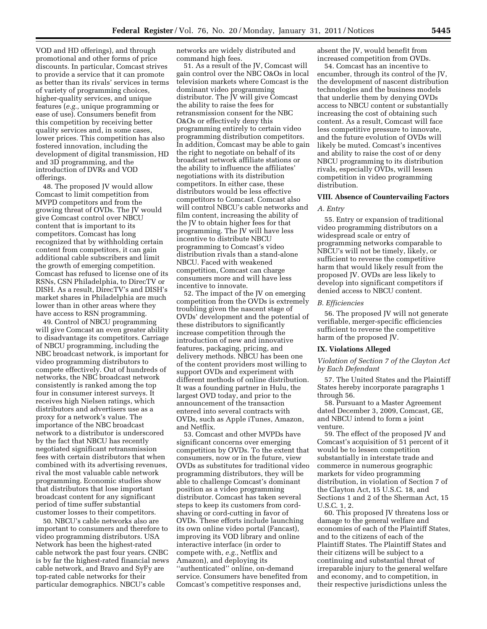VOD and HD offerings), and through promotional and other forms of price discounts. In particular, Comcast strives to provide a service that it can promote as better than its rivals' services in terms of variety of programming choices, higher-quality services, and unique features (*e.g.,* unique programming or ease of use). Consumers benefit from this competition by receiving better quality services and, in some cases, lower prices. This competition has also fostered innovation, including the development of digital transmission, HD and 3D programming, and the introduction of DVRs and VOD offerings.

48. The proposed JV would allow Comcast to limit competition from MVPD competitors and from the growing threat of OVDs. The JV would give Comcast control over NBCU content that is important to its competitors. Comcast has long recognized that by withholding certain content from competitors, it can gain additional cable subscribers and limit the growth of emerging competition. Comcast has refused to license one of its RSNs, CSN Philadelphia, to DirecTV or DISH. As a result, DirecTV's and DISH's market shares in Philadelphia are much lower than in other areas where they have access to RSN programming.

49. Control of NBCU programming will give Comcast an even greater ability to disadvantage its competitors. Carriage of NBCU programming, including the NBC broadcast network, is important for video programming distributors to compete effectively. Out of hundreds of networks, the NBC broadcast network consistently is ranked among the top four in consumer interest surveys. It receives high Nielsen ratings, which distributors and advertisers use as a proxy for a network's value. The importance of the NBC broadcast network to a distributor is underscored by the fact that NBCU has recently negotiated significant retransmission fees with certain distributors that when combined with its advertising revenues, rival the most valuable cable network programming. Economic studies show that distributors that lose important broadcast content for any significant period of time suffer substantial customer losses to their competitors.

50. NBCU's cable networks also are important to consumers and therefore to video programming distributors. USA Network has been the highest-rated cable network the past four years. CNBC is by far the highest-rated financial news cable network, and Bravo and SyFy are top-rated cable networks for their particular demographics. NBCU's cable

networks are widely distributed and command high fees.

51. As a result of the JV, Comcast will gain control over the NBC O&Os in local television markets where Comcast is the dominant video programming distributor. The JV will give Comcast the ability to raise the fees for retransmission consent for the NBC O&Os or effectively deny this programming entirely to certain video programming distribution competitors. In addition, Comcast may be able to gain the right to negotiate on behalf of its broadcast network affiliate stations or the ability to influence the affiliates' negotiations with its distribution competitors. In either case, these distributors would be less effective competitors to Comcast. Comcast also will control NBCU's cable networks and film content, increasing the ability of the JV to obtain higher fees for that programming. The JV will have less incentive to distribute NBCU programming to Comcast's video distribution rivals than a stand-alone NBCU. Faced with weakened competition, Comcast can charge consumers more and will have less incentive to innovate.

52. The impact of the JV on emerging competition from the OVDs is extremely troubling given the nascent stage of OVDs' development and the potential of these distributors to significantly increase competition through the introduction of new and innovative features, packaging, pricing, and delivery methods. NBCU has been one of the content providers most willing to support OVDs and experiment with different methods of online distribution. It was a founding partner in Hulu, the largest OVD today, and prior to the announcement of the transaction entered into several contracts with OVDs, such as Apple iTunes, Amazon, and Netflix.

53. Comcast and other MVPDs have significant concerns over emerging competition by OVDs. To the extent that consumers, now or in the future, view OVDs as substitutes for traditional video programming distributors, they will be able to challenge Comcast's dominant position as a video programming distributor. Comcast has taken several steps to keep its customers from cordshaving or cord-cutting in favor of OVDs. These efforts include launching its own online video portal (Fancast), improving its VOD library and online interactive interface (in order to compete with, *e.g.,* Netflix and Amazon), and deploying its ''authenticated'' online, on-demand service. Consumers have benefited from Comcast's competitive responses and,

absent the JV, would benefit from increased competition from OVDs.

54. Comcast has an incentive to encumber, through its control of the JV, the development of nascent distribution technologies and the business models that underlie them by denying OVDs access to NBCU content or substantially increasing the cost of obtaining such content. As a result, Comcast will face less competitive pressure to innovate, and the future evolution of OVDs will likely be muted. Comcast's incentives and ability to raise the cost of or deny NBCU programming to its distribution rivals, especially OVDs, will lessen competition in video programming distribution.

#### **VIII. Absence of Countervailing Factors**

#### *A. Entry*

55. Entry or expansion of traditional video programming distributors on a widespread scale or entry of programming networks comparable to NBCU's will not be timely, likely, or sufficient to reverse the competitive harm that would likely result from the proposed JV. OVDs are less likely to develop into significant competitors if denied access to NBCU content.

#### *B. Efficiencies*

56. The proposed JV will not generate verifiable, merger-specific efficiencies sufficient to reverse the competitive harm of the proposed JV.

#### **IX. Violations Alleged**

*Violation of Section 7 of the Clayton Act by Each Defendant* 

57. The United States and the Plaintiff States hereby incorporate paragraphs 1 through 56.

58. Pursuant to a Master Agreement dated December 3, 2009, Comcast, GE, and NBCU intend to form a joint venture.

59. The effect of the proposed JV and Comcast's acquisition of 51 percent of it would be to lessen competition substantially in interstate trade and commerce in numerous geographic markets for video programming distribution, in violation of Section 7 of the Clayton Act, 15 U.S.C. 18, and Sections 1 and 2 of the Sherman Act, 15 U.S.C. 1, 2.

60. This proposed JV threatens loss or damage to the general welfare and economies of each of the Plaintiff States, and to the citizens of each of the Plaintiff States. The Plaintiff States and their citizens will be subject to a continuing and substantial threat of irreparable injury to the general welfare and economy, and to competition, in their respective jurisdictions unless the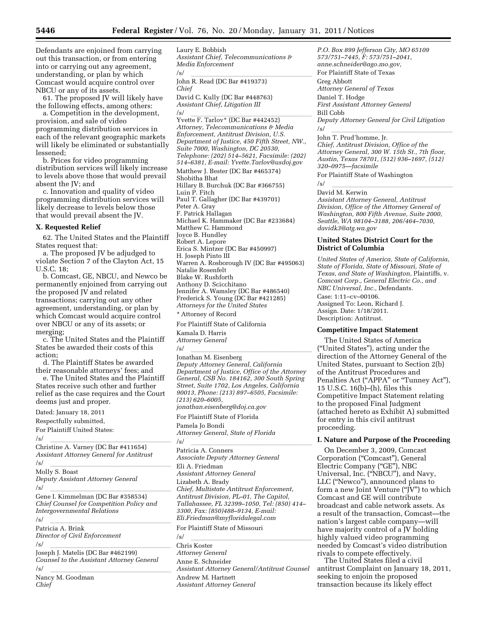Defendants are enjoined from carrying out this transaction, or from entering into or carrying out any agreement, understanding, or plan by which Comcast would acquire control over NBCU or any of its assets.

61. The proposed JV will likely have the following effects, among others:

a. Competition in the development, provision, and sale of video programming distribution services in each of the relevant geographic markets will likely be eliminated or substantially lessened;

b. Prices for video programming distribution services will likely increase to levels above those that would prevail absent the JV; and

c. Innovation and quality of video programming distribution services will likely decrease to levels below those that would prevail absent the JV.

#### **X. Requested Relief**

62. The United States and the Plaintiff States request that:

a. The proposed JV be adjudged to violate Section 7 of the Clayton Act, 15 U.S.C. 18;

b. Comcast, GE, NBCU, and Newco be permanently enjoined from carrying out the proposed JV and related transactions; carrying out any other agreement, understanding, or plan by which Comcast would acquire control over NBCU or any of its assets; or merging;

c. The United States and the Plaintiff States be awarded their costs of this action;

d. The Plaintiff States be awarded their reasonable attorneys' fees; and

e. The United States and the Plaintiff States receive such other and further relief as the case requires and the Court deems just and proper.

Dated: January 18, 2011 Respectfully submitted, For Plaintiff United States: /s/<br>Christine A. Varney (DC Bar #411654) *Assistant Attorney General for Antitrust*  /s/ lllllllllllllllllll Molly S. Boast *Deputy Assistant Attorney General*  /s/ lllllllllllllllllll Gene I. Kimmelman (DC Bar #358534) *Chief Counsel for Competition Policy and Intergovernmental Relations*  /s/<br>Patricia A. Brink *Director of Civil Enforcement*  /s/<br>Joseph J. Matelis (DC Bar #462199) *Counsel to the Assistant Attorney General*  /s/ lllllllllllllllllll Nancy M. Goodman *Chief* 

Laury E. Bobbish *Assistant Chief, Telecommunications & Media Enforcement*  /s/<br>John R. Read (DC Bar #419373) *Chief*  David C. Kully (DC Bar #448763) *Assistant Chief, Litigation III*  /s/<br>Yvette F. Tarlov\* (DC Bar #442452) *Attorney, Telecommunications & Media Enforcement, Antitrust Division, U.S. Department of Justice, 450 Fifth Street, NW., Suite 7000, Washington, DC 20530, Telephone: (202) 514–5621, Facsimile: (202) 514–6381, E-mail: [Yvette.Tarlov@usdoj.gov](mailto:Yvette.Tarlov@usdoj.gov)*  Matthew J. Bester (DC Bar #465374) Shobitha Bhat Hillary B. Burchuk (DC Bar #366755) Luin P. Fitch Paul T. Gallagher (DC Bar #439701) Peter A. Gray F. Patrick Hallagan Michael K. Hammaker (DC Bar #233684) Matthew C. Hammond Joyce B. Hundley Robert A. Lepore Erica S. Mintzer (DC Bar #450997) H. Joseph Pinto III Warren A. Rosborough IV (DC Bar #495063) Natalie Rosenfelt Blake W. Rushforth Anthony D. Scicchitano Jennifer A. Wamsley (DC Bar #486540) Frederick S. Young (DC Bar #421285) *Attorneys for the United States* 

\* Attorney of Record

For Plaintiff State of California

Kamala D. Harris *Attorney General* 

/s/<br>Jonathan M. Eisenberg *Deputy Attorney General, California Department of Justice, Office of the Attorney General, CSB No. 184162, 300 South Spring Street, Suite 1702, Los Angeles, California 90013, Phone: (213) 897–6505, Facsimile: (213) 620–6005,* 

*[jonathan.eisenberg@doj.ca.gov](mailto:jonathan.eisenberg@doj.ca.gov)* 

For Plaintiff State of Florida Pamela Jo Bondi *Attorney General, State of Florida* 

/s/<br>Patricia A. Conners *Associate Deputy Attorney General*  Eli A. Friedman *Assistant Attorney General*  Lizabeth A. Brady *Chief, Multistate Antitrust Enforcement, Antitrust Division, PL–01, The Capitol, Tallahassee, FL 32399–1050, Tel: (850) 414– 3300, Fax: (850)488–9134, E-mail: [Eli.Friedman@myfloridalegal.com](mailto:Eli.Friedman@myfloridalegal.com)* 

For Plaintiff State of Missouri

/s/<br>Chris Koster *Attorney General*  Anne E. Schneider *Assistant Attorney General/Antitrust Counsel*  Andrew M. Hartnett *Assistant Attorney General* 

*P.O. Box 899 Jefferson City, MO 65109 573/751–7445, F: 573/751–2041, [anne.schneider@ago.mo.gov,](mailto:anne.schneider@ago.mo.gov)*  For Plaintiff State of Texas

Greg Abbott *Attorney General of Texas*  Daniel T. Hodge *First Assistant Attorney General*  Bill Cobb *Deputy Attorney General for Civil Litigation* 

/s/ lllllllllllllllllll John T. Prud'homme, Jr. *Chief, Antitrust Division, Office of the Attorney General, 300 W. 15th St., 7th floor, Austin, Texas 78701, (512) 936–1697, (512) 320–0975—facsimile* 

For Plaintiff State of Washington

/s/ lllllllllllllllllll David M. Kerwin

*Assistant Attorney General, Antitrust Division, Office of the Attorney General of Washington, 800 Fifth Avenue, Suite 2000, Seattle, WA 98104–3188, 206/464–7030, [davidk3@atg.wa.gov](mailto:davidk3@atg.wa.gov)* 

#### **United States District Court for the District of Columbia**

*United States of America, State of California, State of Florida, State of Missouri, State of Texas, and State of Washington,* Plaintiffs, v. *Comcast Corp., General Electric Co., and NBC Universal, Inc.,* Defendants.

Case: 1:11–cv–00106. Assigned To: Leon, Richard J. Assign. Date: 1/18/2011. Description: Antitrust.

#### **Competitive Impact Statement**

The United States of America (''United States''), acting under the direction of the Attorney General of the United States, pursuant to Section 2(b) of the Antitrust Procedures and Penalties Act ("APPA" or "Tunney Act"), 15 U.S.C. 16(b)–(h), files this Competitive Impact Statement relating to the proposed Final Judgment (attached hereto as Exhibit A) submitted for entry in this civil antitrust proceeding.

#### **I. Nature and Purpose of the Proceeding**

On December 3, 2009, Comcast Corporation (''Comcast''), General Electric Company (''GE''), NBC Universal, Inc. (''NBCU''), and Navy, LLC (''Newco''), announced plans to form a new Joint Venture ("JV") to which Comcast and GE will contribute broadcast and cable network assets. As a result of the transaction, Comcast—the nation's largest cable company—will have majority control of a JV holding highly valued video programming needed by Comcast's video distribution rivals to compete effectively.

The United States filed a civil antitrust Complaint on January 18, 2011, seeking to enjoin the proposed transaction because its likely effect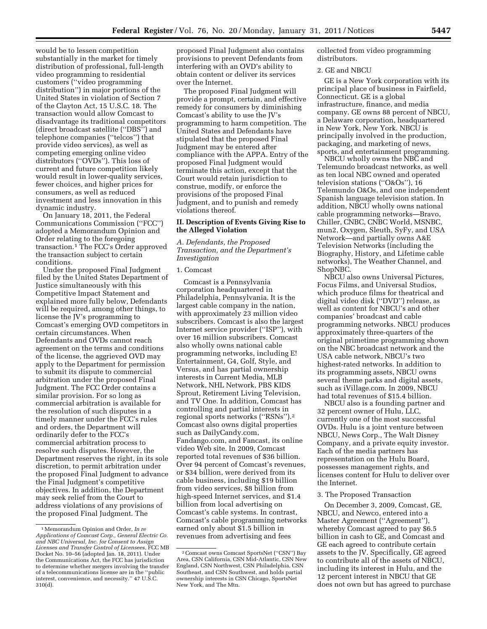would be to lessen competition substantially in the market for timely distribution of professional, full-length video programming to residential customers (''video programming distribution'') in major portions of the United States in violation of Section 7 of the Clayton Act, 15 U.S.C. 18. The transaction would allow Comcast to disadvantage its traditional competitors (direct broadcast satellite (''DBS'') and telephone companies (''telcos'') that provide video services), as well as competing emerging online video distributors (''OVDs''). This loss of current and future competition likely would result in lower-quality services, fewer choices, and higher prices for consumers, as well as reduced investment and less innovation in this dynamic industry.

On January 18, 2011, the Federal Communications Commission (''FCC'') adopted a Memorandum Opinion and Order relating to the foregoing transaction.1 The FCC's Order approved the transaction subject to certain conditions.

Under the proposed Final Judgment filed by the United States Department of Justice simultaneously with this Competitive Impact Statement and explained more fully below, Defendants will be required, among other things, to license the JV's programming to Comcast's emerging OVD competitors in certain circumstances. When Defendants and OVDs cannot reach agreement on the terms and conditions of the license, the aggrieved OVD may apply to the Department for permission to submit its dispute to commercial arbitration under the proposed Final Judgment. The FCC Order contains a similar provision. For so long as commercial arbitration is available for the resolution of such disputes in a timely manner under the FCC's rules and orders, the Department will ordinarily defer to the FCC's commercial arbitration process to resolve such disputes. However, the Department reserves the right, in its sole discretion, to permit arbitration under the proposed Final Judgment to advance the Final Judgment's competitive objectives. In addition, the Department may seek relief from the Court to address violations of any provisions of the proposed Final Judgment. The

proposed Final Judgment also contains provisions to prevent Defendants from interfering with an OVD's ability to obtain content or deliver its services over the Internet.

The proposed Final Judgment will provide a prompt, certain, and effective remedy for consumers by diminishing Comcast's ability to use the JV's programming to harm competition. The United States and Defendants have stipulated that the proposed Final Judgment may be entered after compliance with the APPA. Entry of the proposed Final Judgment would terminate this action, except that the Court would retain jurisdiction to construe, modify, or enforce the provisions of the proposed Final Judgment, and to punish and remedy violations thereof.

#### **II. Description of Events Giving Rise to the Alleged Violation**

*A. Defendants, the Proposed Transaction, and the Department's Investigation* 

#### 1. Comcast

Comcast is a Pennsylvania corporation headquartered in Philadelphia, Pennsylvania. It is the largest cable company in the nation, with approximately 23 million video subscribers. Comcast is also the largest Internet service provider (''ISP''), with over 16 million subscribers. Comcast also wholly owns national cable programming networks, including E! Entertainment, G4, Golf, Style, and Versus, and has partial ownership interests in Current Media, MLB Network, NHL Network, PBS KIDS Sprout, Retirement Living Television, and TV One. In addition, Comcast has controlling and partial interests in regional sports networks (''RSNs'').2 Comcast also owns digital properties such as DailyCandy.com, Fandango.com, and Fancast, its online video Web site. In 2009, Comcast reported total revenues of \$36 billion. Over 94 percent of Comcast's revenues, or \$34 billion, were derived from its cable business, including \$19 billion from video services, \$8 billion from high-speed Internet services, and \$1.4 billion from local advertising on Comcast's cable systems. In contrast, Comcast's cable programming networks earned only about \$1.5 billion in revenues from advertising and fees

collected from video programming distributors.

#### 2. GE and NBCU

GE is a New York corporation with its principal place of business in Fairfield, Connecticut. GE is a global infrastructure, finance, and media company. GE owns 88 percent of NBCU, a Delaware corporation, headquartered in New York, New York. NBCU is principally involved in the production, packaging, and marketing of news, sports, and entertainment programming.

NBCU wholly owns the NBC and Telemundo broadcast networks, as well as ten local NBC owned and operated television stations (''O&Os''), 16 Telemundo O&Os, and one independent Spanish language television station. In addition, NBCU wholly owns national cable programming networks—Bravo, Chiller, CNBC, CNBC World, MSNBC, mun2, Oxygen, Sleuth, SyFy, and USA Network—and partially owns A&E Television Networks (including the Biography, History, and Lifetime cable networks), The Weather Channel, and ShopNBC.

NBCU also owns Universal Pictures, Focus Films, and Universal Studios, which produce films for theatrical and digital video disk (''DVD'') release, as well as content for NBCU's and other companies' broadcast and cable programming networks. NBCU produces approximately three-quarters of the original primetime programming shown on the NBC broadcast network and the USA cable network, NBCU's two highest-rated networks. In addition to its programming assets, NBCU owns several theme parks and digital assets, such as iVillage.com. In 2009, NBCU had total revenues of \$15.4 billion.

NBCU also is a founding partner and 32 percent owner of Hulu, LLC, currently one of the most successful OVDs. Hulu is a joint venture between NBCU, News Corp., The Walt Disney Company, and a private equity investor. Each of the media partners has representation on the Hulu Board, possesses management rights, and licenses content for Hulu to deliver over the Internet.

#### 3. The Proposed Transaction

On December 3, 2009, Comcast, GE, NBCU, and Newco, entered into a Master Agreement (''Agreement''), whereby Comcast agreed to pay \$6.5 billion in cash to GE, and Comcast and GE each agreed to contribute certain assets to the JV. Specifically, GE agreed to contribute all of the assets of NBCU, including its interest in Hulu, and the 12 percent interest in NBCU that GE does not own but has agreed to purchase

<sup>1</sup>Memorandum Opinion and Order, *In re Applications of Comcast Corp., General Electric Co. and NBC Universal, Inc. for Consent to Assign Licenses and Transfer Control of Licensees,* FCC MB Docket No. 10–56 (adopted Jan. 18, 2011). Under the Communications Act, the FCC has jurisdiction to determine whether mergers involving the transfer of a telecommunications license are in the ''public interest, convenience, and necessity.'' 47 U.S.C. 310(d).

<sup>2</sup>Comcast owns Comcast SportsNet (''CSN'') Bay Area, CSN California, CSN Mid-Atlantic, CSN New England, CSN Northwest, CSN Philadelphia, CSN Southeast, and CSN Southwest, and holds partial ownership interests in CSN Chicago, SportsNet New York, and The Mtn.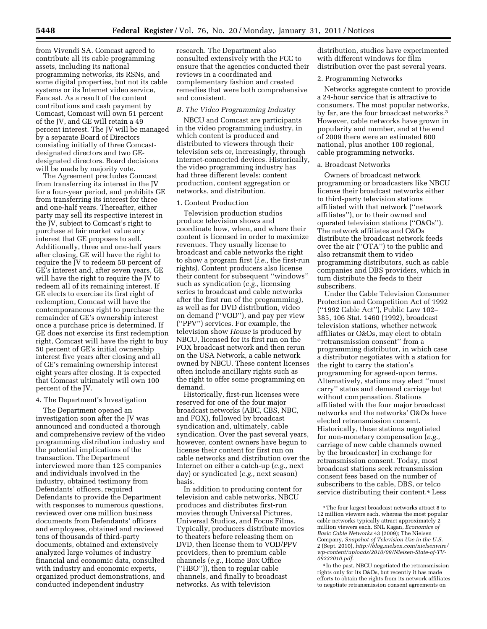from Vivendi SA. Comcast agreed to contribute all its cable programming assets, including its national programming networks, its RSNs, and some digital properties, but not its cable systems or its Internet video service, Fancast. As a result of the content contributions and cash payment by Comcast, Comcast will own 51 percent of the JV, and GE will retain a 49 percent interest. The JV will be managed by a separate Board of Directors consisting initially of three Comcastdesignated directors and two GEdesignated directors. Board decisions will be made by majority vote.

The Agreement precludes Comcast from transferring its interest in the JV for a four-year period, and prohibits GE from transferring its interest for three and one-half years. Thereafter, either party may sell its respective interest in the JV, subject to Comcast's right to purchase at fair market value any interest that GE proposes to sell. Additionally, three and one-half years after closing, GE will have the right to require the JV to redeem 50 percent of GE's interest and, after seven years, GE will have the right to require the JV to redeem all of its remaining interest. If GE elects to exercise its first right of redemption, Comcast will have the contemporaneous right to purchase the remainder of GE's ownership interest once a purchase price is determined. If GE does not exercise its first redemption right, Comcast will have the right to buy 50 percent of GE's initial ownership interest five years after closing and all of GE's remaining ownership interest eight years after closing. It is expected that Comcast ultimately will own 100 percent of the JV.

#### 4. The Department's Investigation

The Department opened an investigation soon after the JV was announced and conducted a thorough and comprehensive review of the video programming distribution industry and the potential implications of the transaction. The Department interviewed more than 125 companies and individuals involved in the industry, obtained testimony from Defendants' officers, required Defendants to provide the Department with responses to numerous questions, reviewed over one million business documents from Defendants' officers and employees, obtained and reviewed tens of thousands of third-party documents, obtained and extensively analyzed large volumes of industry financial and economic data, consulted with industry and economic experts, organized product demonstrations, and conducted independent industry

research. The Department also consulted extensively with the FCC to ensure that the agencies conducted their reviews in a coordinated and complementary fashion and created remedies that were both comprehensive and consistent.

#### *B. The Video Programming Industry*

NBCU and Comcast are participants in the video programming industry, in which content is produced and distributed to viewers through their television sets or, increasingly, through Internet-connected devices. Historically, the video programming industry has had three different levels: content production, content aggregation or networks, and distribution.

#### 1. Content Production

Television production studios produce television shows and coordinate how, when, and where their content is licensed in order to maximize revenues. They usually license to broadcast and cable networks the right to show a program first (*i.e.,* the first-run rights). Content producers also license their content for subsequent ''windows'' such as syndication (*e.g.,* licensing series to broadcast and cable networks after the first run of the programming), as well as for DVD distribution, video on demand (''VOD''), and pay per view (''PPV'') services. For example, the television show *House* is produced by NBCU, licensed for its first run on the FOX broadcast network and then rerun on the USA Network, a cable network owned by NBCU. These content licenses often include ancillary rights such as the right to offer some programming on demand.

Historically, first-run licenses were reserved for one of the four major broadcast networks (ABC, CBS, NBC, and FOX), followed by broadcast syndication and, ultimately, cable syndication. Over the past several years, however, content owners have begun to license their content for first run on cable networks and distribution over the Internet on either a catch-up (*e.g.,* next day) or syndicated (*e.g.,* next season) basis.

In addition to producing content for television and cable networks, NBCU produces and distributes first-run movies through Universal Pictures, Universal Studios, and Focus Films. Typically, producers distribute movies to theaters before releasing them on DVD, then license them to VOD/PPV providers, then to premium cable channels (*e.g.,* Home Box Office (''HBO'')), then to regular cable channels, and finally to broadcast networks. As with television

distribution, studios have experimented with different windows for film distribution over the past several years.

#### 2. Programming Networks

Networks aggregate content to provide a 24-hour service that is attractive to consumers. The most popular networks, by far, are the four broadcast networks.3 However, cable networks have grown in popularity and number, and at the end of 2009 there were an estimated 600 national, plus another 100 regional, cable programming networks.

#### a. Broadcast Networks

Owners of broadcast network programming or broadcasters like NBCU license their broadcast networks either to third-party television stations affiliated with that network (''network affiliates''), or to their owned and operated television stations (''O&Os''). The network affiliates and O&Os distribute the broadcast network feeds over the air (''OTA'') to the public and also retransmit them to video programming distributors, such as cable companies and DBS providers, which in turn distribute the feeds to their subscribers.

Under the Cable Television Consumer Protection and Competition Act of 1992 (''1992 Cable Act''), Public Law 102– 385, 106 Stat. 1460 (1992), broadcast television stations, whether network affiliates or O&Os, may elect to obtain ''retransmission consent'' from a programming distributor, in which case a distributor negotiates with a station for the right to carry the station's programming for agreed-upon terms. Alternatively, stations may elect ''must carry'' status and demand carriage but without compensation. Stations affiliated with the four major broadcast networks and the networks' O&Os have elected retransmission consent. Historically, these stations negotiated for non-monetary compensation (*e.g.,*  carriage of new cable channels owned by the broadcaster) in exchange for retransmission consent. Today, most broadcast stations seek retransmission consent fees based on the number of subscribers to the cable, DBS, or telco service distributing their content.<sup>4</sup> Less

 $^{\rm 3}$  The four largest broadcast networks attract 8 to 12 million viewers each, whereas the most popular cable networks typically attract approximately 2 million viewers each. SNL Kagan, *Economics of Basic Cable Networks* 43 (2009); The Nielsen Company, *Snapshot of Television Use in the U.S.*  2 (Sept. 2010), *[http://blog.nielsen.com/nielsenwire/](http://blog.nielsen.com/nielsenwire/wp-content/uploads/2010/09/Nielsen-State-of-TV-09232010.pdf) [wp-content/uploads/2010/09/Nielsen-State-of-TV-](http://blog.nielsen.com/nielsenwire/wp-content/uploads/2010/09/Nielsen-State-of-TV-09232010.pdf)[09232010.pdf.](http://blog.nielsen.com/nielsenwire/wp-content/uploads/2010/09/Nielsen-State-of-TV-09232010.pdf)* 

<sup>4</sup> In the past, NBCU negotiated the retransmission rights only for its O&Os, but recently it has made efforts to obtain the rights from its network affiliates to negotiate retransmission consent agreements on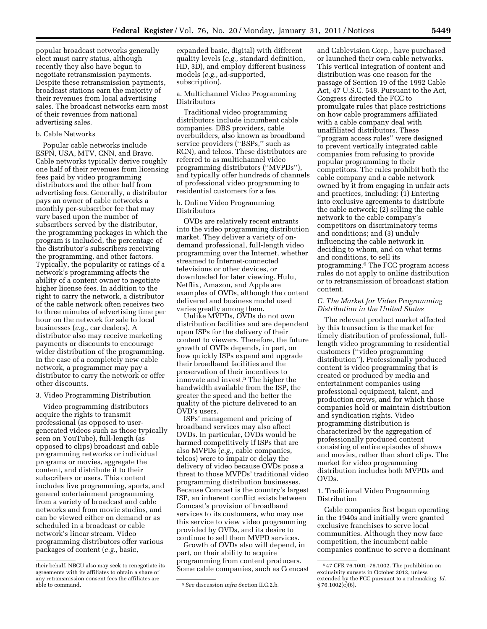popular broadcast networks generally elect must carry status, although recently they also have begun to negotiate retransmission payments. Despite these retransmission payments, broadcast stations earn the majority of their revenues from local advertising sales. The broadcast networks earn most of their revenues from national advertising sales.

#### b. Cable Networks

Popular cable networks include ESPN, USA, MTV, CNN, and Bravo. Cable networks typically derive roughly one half of their revenues from licensing fees paid by video programming distributors and the other half from advertising fees. Generally, a distributor pays an owner of cable networks a monthly per-subscriber fee that may vary based upon the number of subscribers served by the distributor, the programming packages in which the program is included, the percentage of the distributor's subscribers receiving the programming, and other factors. Typically, the popularity or ratings of a network's programming affects the ability of a content owner to negotiate higher license fees. In addition to the right to carry the network, a distributor of the cable network often receives two to three minutes of advertising time per hour on the network for sale to local businesses (*e.g.,* car dealers). A distributor also may receive marketing payments or discounts to encourage wider distribution of the programming. In the case of a completely new cable network, a programmer may pay a distributor to carry the network or offer other discounts.

#### 3. Video Programming Distribution

Video programming distributors acquire the rights to transmit professional (as opposed to usergenerated videos such as those typically seen on YouTube), full-length (as opposed to clips) broadcast and cable programming networks or individual programs or movies, aggregate the content, and distribute it to their subscribers or users. This content includes live programming, sports, and general entertainment programming from a variety of broadcast and cable networks and from movie studios, and can be viewed either on demand or as scheduled in a broadcast or cable network's linear stream. Video programming distributors offer various packages of content (*e.g.,* basic,

expanded basic, digital) with different quality levels (*e.g.,* standard definition, HD, 3D), and employ different business models (*e.g.,* ad-supported, subscription).

a. Multichannel Video Programming Distributors

Traditional video programming distributors include incumbent cable companies, DBS providers, cable overbuilders, also known as broadband service providers ("BSPs," such as RCN), and telcos. These distributors are referred to as multichannel video programming distributors (''MVPDs''), and typically offer hundreds of channels of professional video programming to residential customers for a fee.

#### b. Online Video Programming Distributors

OVDs are relatively recent entrants into the video programming distribution market. They deliver a variety of ondemand professional, full-length video programming over the Internet, whether streamed to Internet-connected televisions or other devices, or downloaded for later viewing. Hulu, Netflix, Amazon, and Apple are examples of OVDs, although the content delivered and business model used varies greatly among them.

Unlike MVPDs, OVDs do not own distribution facilities and are dependent upon ISPs for the delivery of their content to viewers. Therefore, the future growth of OVDs depends, in part, on how quickly ISPs expand and upgrade their broadband facilities and the preservation of their incentives to innovate and invest.5 The higher the bandwidth available from the ISP, the greater the speed and the better the quality of the picture delivered to an OVD's users.

ISPs' management and pricing of broadband services may also affect OVDs. In particular, OVDs would be harmed competitively if ISPs that are also MVPDs (*e.g.,* cable companies, telcos) were to impair or delay the delivery of video because OVDs pose a threat to those MVPDs' traditional video programming distribution businesses. Because Comcast is the country's largest ISP, an inherent conflict exists between Comcast's provision of broadband services to its customers, who may use this service to view video programming provided by OVDs, and its desire to continue to sell them MVPD services.

Growth of OVDs also will depend, in part, on their ability to acquire programming from content producers. Some cable companies, such as Comcast

and Cablevision Corp., have purchased or launched their own cable networks. This vertical integration of content and distribution was one reason for the passage of Section 19 of the 1992 Cable Act, 47 U.S.C. 548. Pursuant to the Act, Congress directed the FCC to promulgate rules that place restrictions on how cable programmers affiliated with a cable company deal with unaffiliated distributors. These ''program access rules'' were designed to prevent vertically integrated cable companies from refusing to provide popular programming to their competitors. The rules prohibit both the cable company and a cable network owned by it from engaging in unfair acts and practices, including: (1) Entering into exclusive agreements to distribute the cable network; (2) selling the cable network to the cable company's competitors on discriminatory terms and conditions; and (3) unduly influencing the cable network in deciding to whom, and on what terms and conditions, to sell its programming.6 The FCC program access rules do not apply to online distribution or to retransmission of broadcast station content.

#### *C. The Market for Video Programming Distribution in the United States*

The relevant product market affected by this transaction is the market for timely distribution of professional, fulllength video programming to residential customers (''video programming distribution''). Professionally produced content is video programming that is created or produced by media and entertainment companies using professional equipment, talent, and production crews, and for which those companies hold or maintain distribution and syndication rights. Video programming distribution is characterized by the aggregation of professionally produced content consisting of entire episodes of shows and movies, rather than short clips. The market for video programming distribution includes both MVPDs and OVDs.

#### 1. Traditional Video Programming Distribution

Cable companies first began operating in the 1940s and initially were granted exclusive franchises to serve local communities. Although they now face competition, the incumbent cable companies continue to serve a dominant

their behalf. NBCU also may seek to renegotiate its agreements with its affiliates to obtain a share of any retransmission consent fees the affiliates are

<sup>&</sup>lt;sup>5</sup> See discussion *infra* Section II.C.2.b.

<sup>6</sup> 47 CFR 76.1001–76.1002. The prohibition on exclusivity sunsets in October 2012, unless extended by the FCC pursuant to a rulemaking. *Id.*   $§ 76.1002(c)(6).$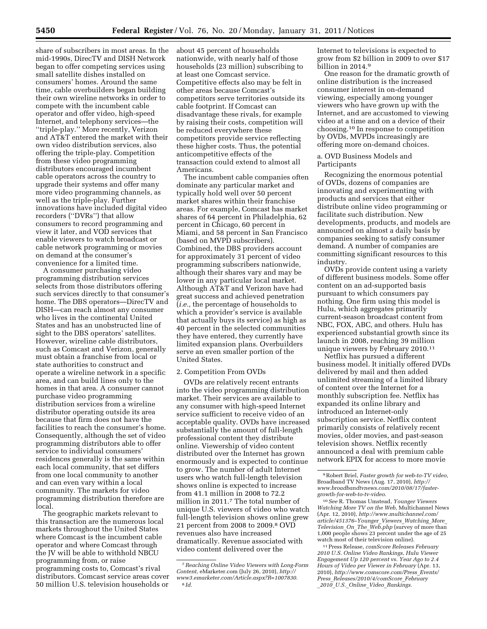share of subscribers in most areas. In the mid-1990s, DirecTV and DISH Network began to offer competing services using small satellite dishes installed on consumers' homes. Around the same time, cable overbuilders began building their own wireline networks in order to compete with the incumbent cable operator and offer video, high-speed Internet, and telephony services—the ''triple-play.'' More recently, Verizon and AT&T entered the market with their own video distribution services, also offering the triple-play. Competition from these video programming distributors encouraged incumbent cable operators across the country to upgrade their systems and offer many more video programming channels, as well as the triple-play. Further innovations have included digital video recorders (''DVRs'') that allow consumers to record programming and view it later, and VOD services that enable viewers to watch broadcast or cable network programming or movies on demand at the consumer's convenience for a limited time.

A consumer purchasing video programming distribution services selects from those distributors offering such services directly to that consumer's home. The DBS operators—DirecTV and DISH—can reach almost any consumer who lives in the continental United States and has an unobstructed line of sight to the DBS operators' satellites. However, wireline cable distributors, such as Comcast and Verizon, generally must obtain a franchise from local or state authorities to construct and operate a wireline network in a specific area, and can build lines only to the homes in that area. A consumer cannot purchase video programming distribution services from a wireline distributor operating outside its area because that firm does not have the facilities to reach the consumer's home. Consequently, although the set of video programming distributors able to offer service to individual consumers' residences generally is the same within each local community, that set differs from one local community to another and can even vary within a local community. The markets for video programming distribution therefore are local.

The geographic markets relevant to this transaction are the numerous local markets throughout the United States where Comcast is the incumbent cable operator and where Comcast through the JV will be able to withhold NBCU programming from, or raise programming costs to, Comcast's rival distributors. Comcast service areas cover 50 million U.S. television households or

about 45 percent of households nationwide, with nearly half of those households (23 million) subscribing to at least one Comcast service. Competitive effects also may be felt in other areas because Comcast's competitors serve territories outside its cable footprint. If Comcast can disadvantage these rivals, for example by raising their costs, competition will be reduced everywhere these competitors provide service reflecting these higher costs. Thus, the potential anticompetitive effects of the transaction could extend to almost all Americans.

The incumbent cable companies often dominate any particular market and typically hold well over 50 percent market shares within their franchise areas. For example, Comcast has market shares of 64 percent in Philadelphia, 62 percent in Chicago, 60 percent in Miami, and 58 percent in San Francisco (based on MVPD subscribers). Combined, the DBS providers account for approximately 31 percent of video programming subscribers nationwide, although their shares vary and may be lower in any particular local market. Although AT&T and Verizon have had great success and achieved penetration (*i.e.,* the percentage of households to which a provider's service is available that actually buys its service) as high as 40 percent in the selected communities they have entered, they currently have limited expansion plans. Overbuilders serve an even smaller portion of the United States.

#### 2. Competition From OVDs

OVDs are relatively recent entrants into the video programming distribution market. Their services are available to any consumer with high-speed Internet service sufficient to receive video of an acceptable quality. OVDs have increased substantially the amount of full-length professional content they distribute online. Viewership of video content distributed over the Internet has grown enormously and is expected to continue to grow. The number of adult Internet users who watch full-length television shows online is expected to increase from 41.1 million in 2008 to 72.2 million in 2011.7 The total number of unique U.S. viewers of video who watch full-length television shows online grew 21 percent from 2008 to 2009.8 OVD revenues also have increased dramatically. Revenue associated with video content delivered over the

Internet to televisions is expected to grow from \$2 billion in 2009 to over \$17 billion in 2014.9

One reason for the dramatic growth of online distribution is the increased consumer interest in on-demand viewing, especially among younger viewers who have grown up with the Internet, and are accustomed to viewing video at a time and on a device of their choosing.10 In response to competition by OVDs, MVPDs increasingly are offering more on-demand choices.

a. OVD Business Models and Participants

Recognizing the enormous potential of OVDs, dozens of companies are innovating and experimenting with products and services that either distribute online video programming or facilitate such distribution. New developments, products, and models are announced on almost a daily basis by companies seeking to satisfy consumer demand. A number of companies are committing significant resources to this industry.

OVDs provide content using a variety of different business models. Some offer content on an ad-supported basis pursuant to which consumers pay nothing. One firm using this model is Hulu, which aggregates primarily current-season broadcast content from NBC, FOX, ABC, and others. Hulu has experienced substantial growth since its launch in 2008, reaching 39 million unique viewers by February 2010.11

Netflix has pursued a different business model. It initially offered DVDs delivered by mail and then added unlimited streaming of a limited library of content over the Internet for a monthly subscription fee. Netflix has expanded its online library and introduced an Internet-only subscription service. Netflix content primarily consists of relatively recent movies, older movies, and past-season television shows. Netflix recently announced a deal with premium cable network EPIX for access to more movie

<sup>7</sup>*Reaching Online Video Viewers with Long-Form Content,* eMarketer.com (July 26, 2010), *[http://](http://www3.emarketer.com/Article.aspx?R=1007830) [www3.emarketer.com/Article.aspx?R=1007830](http://www3.emarketer.com/Article.aspx?R=1007830)*. 8 *Id.* 

<sup>9</sup>Robert Briel, *Faster growth for web-to-TV video,*  Broadband TV News (Aug. 17, 2010), *[http://](http://www.broadbandtvnews.com/2010/08/17/faster-growth-for-web-to-tv-video)  [www.broadbandtvnews.com/2010/08/17/faster](http://www.broadbandtvnews.com/2010/08/17/faster-growth-for-web-to-tv-video)[growth-for-web-to-tv-video](http://www.broadbandtvnews.com/2010/08/17/faster-growth-for-web-to-tv-video)*.

<sup>10</sup>*See* R. Thomas Umstead, *Younger Viewers Watching More TV on the Web,* Multichannel News (Apr. 12, 2010), *[http://www.multichannel.com/](http://www.multichannel.com/article/451376-Younger_Viewers_Watching_More_Television_On_The_Web.php) [article/451376–Younger](http://www.multichannel.com/article/451376-Younger_Viewers_Watching_More_Television_On_The_Web.php)*\_*Viewers*\_*Watching*\_*More*\_ *[Television](http://www.multichannel.com/article/451376-Younger_Viewers_Watching_More_Television_On_The_Web.php)*\_*On*\_*The*\_*Web.php* (survey of more than 1,000 people shows 23 percent under the age of 25 watch most of their television online).

<sup>11</sup>Press Release, *comScore Releases February 2010 U.S. Online Video Rankings, Hulu Viewer Engagement Up 120 percent vs. Year Ago to 2.4 Hours of Video per Viewer in February* (Apr. 13, 2010), *[http://www.comscore.com/Press](http://www.comscore.com/Press_Events/Press_Releases/2010/4/comScore_February_2010_U.S._Online_Video_Rankings)*\_*Events/ Press*\_*[Releases/2010/4/comScore](http://www.comscore.com/Press_Events/Press_Releases/2010/4/comScore_February_2010_U.S._Online_Video_Rankings)*\_*February* \_*2010*\_*U.S.*\_*Online*\_*Video*\_*[Rankings.](http://www.comscore.com/Press_Events/Press_Releases/2010/4/comScore_February_2010_U.S._Online_Video_Rankings)*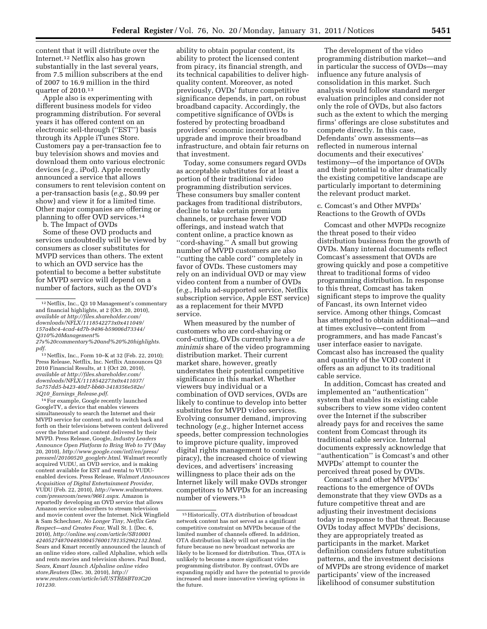content that it will distribute over the Internet.12 Netflix also has grown substantially in the last several years, from 7.5 million subscribers at the end of 2007 to 16.9 million in the third quarter of 2010.13

Apple also is experimenting with different business models for video programming distribution. For several years it has offered content on an electronic sell-through (''EST'') basis through its Apple iTunes Store. Customers pay a per-transaction fee to buy television shows and movies and download them onto various electronic devices (*e.g.,* iPod). Apple recently announced a service that allows consumers to rent television content on a per-transaction basis (*e.g.,* \$0.99 per show) and view it for a limited time. Other major companies are offering or planning to offer OVD services.14

b. The Impact of OVDs

Some of these OVD products and services undoubtedly will be viewed by consumers as closer substitutes for MVPD services than others. The extent to which an OVD service has the potential to become a better substitute for MVPD service will depend on a number of factors, such as the OVD's

13Netflix, Inc., Form 10–K at 32 (Feb. 22, 2010); Press Release, Netflix, Inc. Netflix Announces Q3 2010 Financial Results, at 1 (Oct 20, 2010), *available at [http://files.shareholder.com/](http://files.shareholder.com/downloads/NFLX/1118542273x0x411037/5a757dd5-b423-40d7-bb60-3418356e582e/3Q10_Earnings_Release.pdf)  [downloads/NFLX/1118542273x0x411037/](http://files.shareholder.com/downloads/NFLX/1118542273x0x411037/5a757dd5-b423-40d7-bb60-3418356e582e/3Q10_Earnings_Release.pdf) [5a757dd5-b423-40d7-bb60-3418356e582e/](http://files.shareholder.com/downloads/NFLX/1118542273x0x411037/5a757dd5-b423-40d7-bb60-3418356e582e/3Q10_Earnings_Release.pdf)  3Q10*\_*Earnings*\_*[Release.pdf](http://files.shareholder.com/downloads/NFLX/1118542273x0x411037/5a757dd5-b423-40d7-bb60-3418356e582e/3Q10_Earnings_Release.pdf)*.

<sup>14</sup> For example, Google recently launched GoogleTV, a device that enables viewers simultaneously to search the Internet and their MVPD service for content, and to switch back and forth on their televisions between content delivered over the Internet and content delivered by their MVPD. Press Release, Google, *Industry Leaders Announce Open Platform to Bring Web to TV* (May 20, 2010), *[http://www.google.com/intl/en/press/](http://www.google.com/intl/en/press/pressrel/20100520_googletv.html) [pressrel/20100520](http://www.google.com/intl/en/press/pressrel/20100520_googletv.html)*\_*googletv.html*. Walmart recently acquired VUDU, an OVD service, and is making content available for EST and rental to VUDUenabled devices. Press Release, *Walmart Announces Acquisition of Digital Entertainment Provider*, VUDU (Feb. 22, 2010), *[http://www.walmartstores.](http://www.walmartstores.com/pressroom/news/9661.aspx) [com/pressroom/news/9661.aspx](http://www.walmartstores.com/pressroom/news/9661.aspx)*. Amazon is reportedly developing an OVD service that allows Amazon service subscribers to stream television and movie content over the Internet. Nick Wingfield & Sam Schechner, *No Longer Tiny, Netflix Gets Respect—and Creates Fear,* Wall St. J. (Dec. 6, 2010), *[http://online.wsj.com/article/SB10001](http://online.wsj.com/article/SB10001424052748704493004576001781352962132.html) [424052748704493004576001781352962132.html](http://online.wsj.com/article/SB10001424052748704493004576001781352962132.html)*. Sears and Kmart recently announced the launch of an online video store, called Alphaline, which sells and rents movies and television shows. Paul Bond, *Sears, Kmart launch Alphaline online video store,Reuters* (Dec. 30, 2010), *[http://](http://www.reuters.com/article/idUSTRE6BT03C20101230)  [www.reuters.com/article/idUSTRE6BT03C20](http://www.reuters.com/article/idUSTRE6BT03C20101230) [101230](http://www.reuters.com/article/idUSTRE6BT03C20101230)*.

ability to obtain popular content, its ability to protect the licensed content from piracy, its financial strength, and its technical capabilities to deliver highquality content. Moreover, as noted previously, OVDs' future competitive significance depends, in part, on robust broadband capacity. Accordingly, the competitive significance of OVDs is fostered by protecting broadband providers' economic incentives to upgrade and improve their broadband infrastructure, and obtain fair returns on that investment.

Today, some consumers regard OVDs as acceptable substitutes for at least a portion of their traditional video programming distribution services. These consumers buy smaller content packages from traditional distributors, decline to take certain premium channels, or purchase fewer VOD offerings, and instead watch that content online, a practice known as ''cord-shaving.'' A small but growing number of MVPD customers are also ''cutting the cable cord'' completely in favor of OVDs. These customers may rely on an individual OVD or may view video content from a number of OVDs (*e.g.,* Hulu ad-supported service, Netflix subscription service, Apple EST service) as a replacement for their MVPD service.

When measured by the number of customers who are cord-shaving or cord-cutting, OVDs currently have a *de minimis* share of the video programming distribution market. Their current market share, however, greatly understates their potential competitive significance in this market. Whether viewers buy individual or a combination of OVD services, OVDs are likely to continue to develop into better substitutes for MVPD video services. Evolving consumer demand, improving technology (*e.g.,* higher Internet access speeds, better compression technologies to improve picture quality, improved digital rights management to combat piracy), the increased choice of viewing devices, and advertisers' increasing willingness to place their ads on the Internet likely will make OVDs stronger competitors to MVPDs for an increasing number of viewers.15

The development of the video programming distribution market—and in particular the success of OVDs—may influence any future analysis of consolidation in this market. Such analysis would follow standard merger evaluation principles and consider not only the role of OVDs, but also factors such as the extent to which the merging firms' offerings are close substitutes and compete directly. In this case, Defendants' own assessments—as reflected in numerous internal documents and their executives' testimony—of the importance of OVDs and their potential to alter dramatically the existing competitive landscape are particularly important to determining the relevant product market.

#### c. Comcast's and Other MVPDs' Reactions to the Growth of OVDs

Comcast and other MVPDs recognize the threat posed to their video distribution business from the growth of OVDs. Many internal documents reflect Comcast's assessment that OVDs are growing quickly and pose a competitive threat to traditional forms of video programming distribution. In response to this threat, Comcast has taken significant steps to improve the quality of Fancast, its own Internet video service. Among other things, Comcast has attempted to obtain additional—and at times exclusive—content from programmers, and has made Fancast's user interface easier to navigate. Comcast also has increased the quality and quantity of the VOD content it offers as an adjunct to its traditional cable service.

In addition, Comcast has created and implemented an ''authentication'' system that enables its existing cable subscribers to view some video content over the Internet if the subscriber already pays for and receives the same content from Comcast through its traditional cable service. Internal documents expressly acknowledge that "authentication" is Comcast's and other MVPDs' attempt to counter the perceived threat posed by OVDs.

Comcast's and other MVPDs' reactions to the emergence of OVDs demonstrate that they view OVDs as a future competitive threat and are adjusting their investment decisions today in response to that threat. Because OVDs today affect MVPDs' decisions, they are appropriately treated as participants in the market. Market definition considers future substitution patterns, and the investment decisions of MVPDs are strong evidence of market participants' view of the increased likelihood of consumer substitution

<sup>12</sup>Netflix, Inc., Q3 10 Management's commentary and financial highlights, at 2 (Oct. 20, 2010), *available at [http://files.shareholder.com/](http://files.shareholder.com/downloads/NFLX/1118542273x0x411049/157a4bc4-4cad-4d7b-9496-b59006d73344/Q310%20Management%27s%20commentary%20and%20%20highlights.pdf) [downloads/NFLX/1118542273x0x411049/](http://files.shareholder.com/downloads/NFLX/1118542273x0x411049/157a4bc4-4cad-4d7b-9496-b59006d73344/Q310%20Management%27s%20commentary%20and%20%20highlights.pdf) [157a4bc4-4cad-4d7b-9496-b59006d73344/](http://files.shareholder.com/downloads/NFLX/1118542273x0x411049/157a4bc4-4cad-4d7b-9496-b59006d73344/Q310%20Management%27s%20commentary%20and%20%20highlights.pdf)  [Q310%20Management%](http://files.shareholder.com/downloads/NFLX/1118542273x0x411049/157a4bc4-4cad-4d7b-9496-b59006d73344/Q310%20Management%27s%20commentary%20and%20%20highlights.pdf)*

*[<sup>27</sup>s%20commentary%20and%20%20highlights.](http://files.shareholder.com/downloads/NFLX/1118542273x0x411049/157a4bc4-4cad-4d7b-9496-b59006d73344/Q310%20Management%27s%20commentary%20and%20%20highlights.pdf) [pdf](http://files.shareholder.com/downloads/NFLX/1118542273x0x411049/157a4bc4-4cad-4d7b-9496-b59006d73344/Q310%20Management%27s%20commentary%20and%20%20highlights.pdf)*.

 $^{\rm 15}\,$  Historically, OTA distribution of broadcast network content has not served as a significant competitive constraint on MVPDs because of the limited number of channels offered. In addition, OTA distribution likely will not expand in the future because no new broadcast networks are likely to be licensed for distribution. Thus, OTA is unlikely to become a more significant video programming distributor. By contrast, OVDs are expanding rapidly and have the potential to provide increased and more innovative viewing options in the future.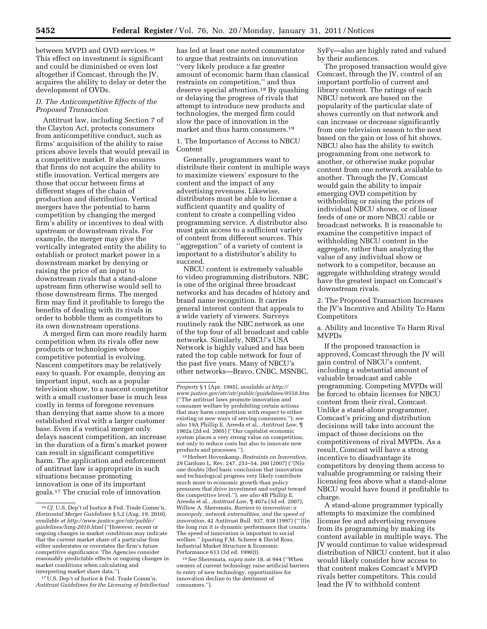between MVPD and OVD services.16 This effect on investment is significant and could be diminished or even lost altogether if Comcast, through the JV, acquires the ability to delay or deter the development of OVDs.

#### *D. The Anticompetitive Effects of the Proposed Transaction*

Antitrust law, including Section 7 of the Clayton Act, protects consumers from anticompetitive conduct, such as firms' acquisition of the ability to raise prices above levels that would prevail in a competitive market. It also ensures that firms do not acquire the ability to stifle innovation. Vertical mergers are those that occur between firms at different stages of the chain of production and distribution. Vertical mergers have the potential to harm competition by changing the merged firm's ability or incentives to deal with upstream or downstream rivals. For example, the merger may give the vertically integrated entity the ability to establish or protect market power in a downstream market by denying or raising the price of an input to downstream rivals that a stand-alone upstream firm otherwise would sell to those downstream firms. The merged firm may find it profitable to forego the benefits of dealing with its rivals in order to hobble them as competitors to its own downstream operations.

A merged firm can more readily harm competition when its rivals offer new products or technologies whose competitive potential is evolving. Nascent competitors may be relatively easy to quash. For example, denying an important input, such as a popular television show, to a nascent competitor with a small customer base is much less costly in terms of foregone revenues than denying that same show to a more established rival with a larger customer base. Even if a vertical merger only delays nascent competition, an increase in the duration of a firm's market power can result in significant competitive harm. The application and enforcement of antitrust law is appropriate in such situations because promoting innovation is one of its important goals.17 The crucial role of innovation

17U.S. Dep't of Justice & Fed. Trade Comm'n, *Antitrust Guidelines for the Licensing of Intellectual* 

has led at least one noted commentator to argue that restraints on innovation ''very likely produce a far greater amount of economic harm than classical restraints on competition,'' and thus deserve special attention.18 By quashing or delaying the progress of rivals that attempt to introduce new products and technologies, the merged firm could slow the pace of innovation in the market and thus harm consumers.19

1. The Importance of Access to NBCU Content

Generally, programmers want to distribute their content in multiple ways to maximize viewers' exposure to the content and the impact of any advertising revenues. Likewise, distributors must be able to license a sufficient quantity and quality of content to create a compelling video programming service. A distributor also must gain access to a sufficient variety of content from different sources. This ''aggregation'' of a variety of content is important to a distributor's ability to succeed.

NBCU content is extremely valuable to video programming distributors. NBC is one of the original three broadcast networks and has decades of history and brand name recognition. It carries general interest content that appeals to a wide variety of viewers. Surveys routinely rank the NBC network as one of the top four of all broadcast and cable networks. Similarly, NBCU's USA Network is highly valued and has been rated the top cable network for four of the past five years. Many of NBCU's other networks—Bravo, CNBC, MSNBC,

18Herbert Hovenkamp, *Restraints on Innovation,*  29 Cardozo L. Rev. 247, 253–54, 260 (2007) (''[N]o one doubts [the] basic conclusion that innovation and technological progress very likely contribute much more to economic growth than policy pressures that drive investment and output toward the competitive level.''); *see also* 4B Phillip E. Areeda et al., *Antitrust Law*, ¶ 407a (3d ed. 2007); Willow A. Sheremata, *Barriers to innovation: a monopoly, network externalities, and the speed of innovation,* 42 Antitrust Bull. 937, 938 (1997) ('''[I]n the long run it is dynamic performance that counts.' The speed of innovation is important to social welfare.'' (quoting F.M. Scherer & David Ross, Industrial Market Structure & Economic Performance 613 (3d ed. 1990))).

19*See* Sheremata, *supra* note 18, at 944 (''When owners of current technology raise artificial barriers to entry of new technology, opportunities for innovation decline to the detriment of consumers.'').

SyFy—also are highly rated and valued by their audiences.

The proposed transaction would give Comcast, through the JV, control of an important portfolio of current and library content. The ratings of each NBCU network are based on the popularity of the particular slate of shows currently on that network and can increase or decrease significantly from one television season to the next based on the gain or loss of hit shows. NBCU also has the ability to switch programming from one network to another, or otherwise make popular content from one network available to another. Through the JV, Comcast would gain the ability to impair emerging OVD competition by withholding or raising the prices of individual NBCU shows, or of linear feeds of one or more NBCU cable or broadcast networks. It is reasonable to examine the competitive impact of withholding NBCU content in the aggregate, rather than analyzing the value of any individual show or network to a competitor, because an aggregate withholding strategy would have the greatest impact on Comcast's downstream rivals.

2. The Proposed Transaction Increases the JV's Incentive and Ability To Harm Competitors

a. Ability and Incentive To Harm Rival MVPDs

If the proposed transaction is approved, Comcast through the JV will gain control of NBCU's content, including a substantial amount of valuable broadcast and cable programming. Competing MVPDs will be forced to obtain licenses for NBCU content from their rival, Comcast. Unlike a stand-alone programmer, Comcast's pricing and distribution decisions will take into account the impact of those decisions on the competitiveness of rival MVPDs. As a result, Comcast will have a strong incentive to disadvantage its competitors by denying them access to valuable programming or raising their licensing fees above what a stand-alone NBCU would have found it profitable to charge.

A stand-alone programmer typically attempts to maximize the combined license fee and advertising revenues from its programming by making its content available in multiple ways. The JV would continue to value widespread distribution of NBCU content, but it also would likely consider how access to that content makes Comcast's MVPD rivals better competitors. This could lead the JV to withhold content

<sup>16</sup>*Cf.* U.S. Dep't of Justice & Fed. Trade Comm'n, *Horizontal Merger Guidelines* § 5.2 (Aug. 19, 2010), *available at [http://www.justice.gov/atr/public/](http://www.justice.gov/atr/public/guidelines/hmg-2010.html) [guidelines/hmg-2010.html](http://www.justice.gov/atr/public/guidelines/hmg-2010.html)* (''However, recent or ongoing changes in market conditions may indicate that the current market share of a particular firm either understates or overstates the firm's future competitive significance. The Agencies consider reasonably predictable effects or ongoing changes in market conditions when calculating and interpreting market share data.'').

*Property* § 1 (Apr. 1995), *available at [http://](http://www.justice.gov/atr/atr/public/guidelines/0558.htm)  [www.justice.gov/atr/atr/public/guidelines/0558.htm](http://www.justice.gov/atr/atr/public/guidelines/0558.htm)*  (''The antitrust laws promote innovation and consumer welfare by prohibiting certain actions that may harm competition with respect to either existing or new ways of serving consumers.''); *see also* 19A Phillip E. Areeda et al., *Antitrust Law,* ¶ 1902a (2d ed. 2005) (''Our capitalist economic system places a very strong value on competition, not only to reduce costs but also to innovate new products and processes.'').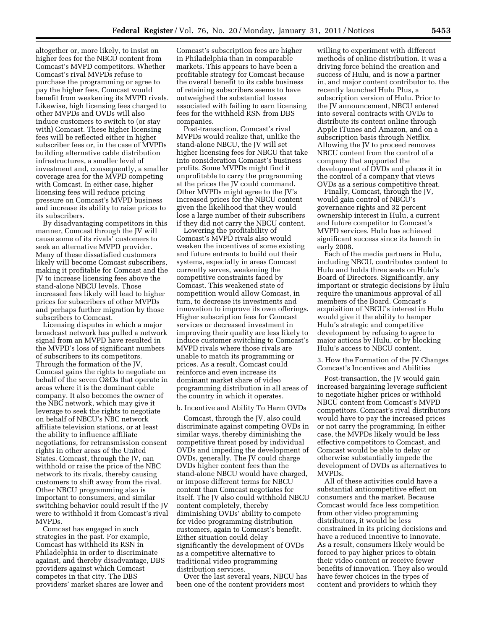altogether or, more likely, to insist on higher fees for the NBCU content from Comcast's MVPD competitors. Whether Comcast's rival MVPDs refuse to purchase the programming or agree to pay the higher fees, Comcast would benefit from weakening its MVPD rivals. Likewise, high licensing fees charged to other MVPDs and OVDs will also induce customers to switch to (or stay with) Comcast. These higher licensing fees will be reflected either in higher subscriber fees or, in the case of MVPDs building alternative cable distribution infrastructures, a smaller level of investment and, consequently, a smaller coverage area for the MVPD competing with Comcast. In either case, higher licensing fees will reduce pricing pressure on Comcast's MVPD business and increase its ability to raise prices to its subscribers.

By disadvantaging competitors in this manner, Comcast through the JV will cause some of its rivals' customers to seek an alternative MVPD provider. Many of these dissatisfied customers likely will become Comcast subscribers, making it profitable for Comcast and the JV to increase licensing fees above the stand-alone NBCU levels. Those increased fees likely will lead to higher prices for subscribers of other MVPDs and perhaps further migration by those subscribers to Comcast.

Licensing disputes in which a major broadcast network has pulled a network signal from an MVPD have resulted in the MVPD's loss of significant numbers of subscribers to its competitors. Through the formation of the JV, Comcast gains the rights to negotiate on behalf of the seven O&Os that operate in areas where it is the dominant cable company. It also becomes the owner of the NBC network, which may give it leverage to seek the rights to negotiate on behalf of NBCU's NBC network affiliate television stations, or at least the ability to influence affiliate negotiations, for retransmission consent rights in other areas of the United States. Comcast, through the JV, can withhold or raise the price of the NBC network to its rivals, thereby causing customers to shift away from the rival. Other NBCU programming also is important to consumers, and similar switching behavior could result if the JV were to withhold it from Comcast's rival MVPDs.

Comcast has engaged in such strategies in the past. For example, Comcast has withheld its RSN in Philadelphia in order to discriminate against, and thereby disadvantage, DBS providers against which Comcast competes in that city. The DBS providers' market shares are lower and

Comcast's subscription fees are higher in Philadelphia than in comparable markets. This appears to have been a profitable strategy for Comcast because the overall benefit to its cable business of retaining subscribers seems to have outweighed the substantial losses associated with failing to earn licensing fees for the withheld RSN from DBS companies.

Post-transaction, Comcast's rival MVPDs would realize that, unlike the stand-alone NBCU, the JV will set higher licensing fees for NBCU that take into consideration Comcast's business profits. Some MVPDs might find it unprofitable to carry the programming at the prices the JV could command. Other MVPDs might agree to the JV's increased prices for the NBCU content given the likelihood that they would lose a large number of their subscribers if they did not carry the NBCU content.

Lowering the profitability of Comcast's MVPD rivals also would weaken the incentives of some existing and future entrants to build out their systems, especially in areas Comcast currently serves, weakening the competitive constraints faced by Comcast. This weakened state of competition would allow Comcast, in turn, to decrease its investments and innovation to improve its own offerings. Higher subscription fees for Comcast services or decreased investment in improving their quality are less likely to induce customer switching to Comcast's MVPD rivals where those rivals are unable to match its programming or prices. As a result, Comcast could reinforce and even increase its dominant market share of video programming distribution in all areas of the country in which it operates.

#### b. Incentive and Ability To Harm OVDs

Comcast, through the JV, also could discriminate against competing OVDs in similar ways, thereby diminishing the competitive threat posed by individual OVDs and impeding the development of OVDs, generally. The JV could charge OVDs higher content fees than the stand-alone NBCU would have charged, or impose different terms for NBCU content than Comcast negotiates for itself. The JV also could withhold NBCU content completely, thereby diminishing OVDs' ability to compete for video programming distribution customers, again to Comcast's benefit. Either situation could delay significantly the development of OVDs as a competitive alternative to traditional video programming distribution services.

Over the last several years, NBCU has been one of the content providers most

willing to experiment with different methods of online distribution. It was a driving force behind the creation and success of Hulu, and is now a partner in, and major content contributor to, the recently launched Hulu Plus, a subscription version of Hulu. Prior to the JV announcement, NBCU entered into several contracts with OVDs to distribute its content online through Apple iTunes and Amazon, and on a subscription basis through Netflix. Allowing the JV to proceed removes NBCU content from the control of a company that supported the development of OVDs and places it in the control of a company that views OVDs as a serious competitive threat.

Finally, Comcast, through the JV, would gain control of NBCU's governance rights and 32 percent ownership interest in Hulu, a current and future competitor to Comcast's MVPD services. Hulu has achieved significant success since its launch in early 2008.

Each of the media partners in Hulu, including NBCU, contributes content to Hulu and holds three seats on Hulu's Board of Directors. Significantly, any important or strategic decisions by Hulu require the unanimous approval of all members of the Board. Comcast's acquisition of NBCU's interest in Hulu would give it the ability to hamper Hulu's strategic and competitive development by refusing to agree to major actions by Hulu, or by blocking Hulu's access to NBCU content.

3. How the Formation of the JV Changes Comcast's Incentives and Abilities

Post-transaction, the JV would gain increased bargaining leverage sufficient to negotiate higher prices or withhold NBCU content from Comcast's MVPD competitors. Comcast's rival distributors would have to pay the increased prices or not carry the programming. In either case, the MVPDs likely would be less effective competitors to Comcast, and Comcast would be able to delay or otherwise substantially impede the development of OVDs as alternatives to MVPDs.

All of these activities could have a substantial anticompetitive effect on consumers and the market. Because Comcast would face less competition from other video programming distributors, it would be less constrained in its pricing decisions and have a reduced incentive to innovate. As a result, consumers likely would be forced to pay higher prices to obtain their video content or receive fewer benefits of innovation. They also would have fewer choices in the types of content and providers to which they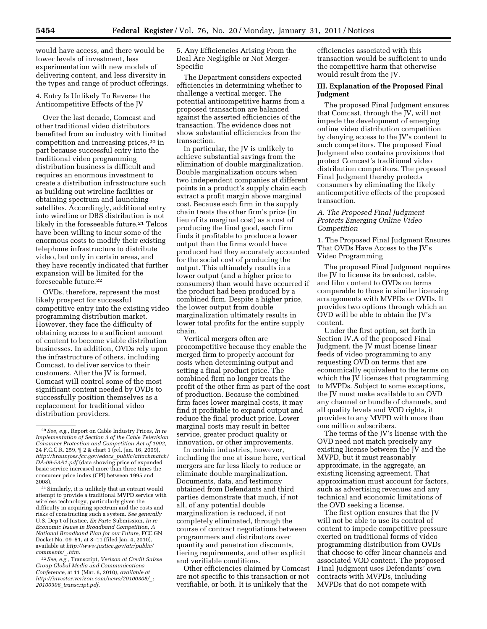would have access, and there would be lower levels of investment, less experimentation with new models of delivering content, and less diversity in the types and range of product offerings.

4. Entry Is Unlikely To Reverse the Anticompetitive Effects of the JV

Over the last decade, Comcast and other traditional video distributors benefited from an industry with limited competition and increasing prices,20 in part because successful entry into the traditional video programming distribution business is difficult and requires an enormous investment to create a distribution infrastructure such as building out wireline facilities or obtaining spectrum and launching satellites. Accordingly, additional entry into wireline or DBS distribution is not likely in the foreseeable future.<sup>21</sup> Telcos have been willing to incur some of the enormous costs to modify their existing telephone infrastructure to distribute video, but only in certain areas, and they have recently indicated that further expansion will be limited for the foreseeable future.22

OVDs, therefore, represent the most likely prospect for successful competitive entry into the existing video programming distribution market. However, they face the difficulty of obtaining access to a sufficient amount of content to become viable distribution businesses. In addition, OVDs rely upon the infrastructure of others, including Comcast, to deliver service to their customers. After the JV is formed, Comcast will control some of the most significant content needed by OVDs to successfully position themselves as a replacement for traditional video distribution providers.

5. Any Efficiencies Arising From the Deal Are Negligible or Not Merger-Specific

The Department considers expected efficiencies in determining whether to challenge a vertical merger. The potential anticompetitive harms from a proposed transaction are balanced against the asserted efficiencies of the transaction. The evidence does not show substantial efficiencies from the transaction.

In particular, the JV is unlikely to achieve substantial savings from the elimination of double marginalization. Double marginalization occurs when two independent companies at different points in a product's supply chain each extract a profit margin above marginal cost. Because each firm in the supply chain treats the other firm's price (in lieu of its marginal cost) as a cost of producing the final good, each firm finds it profitable to produce a lower output than the firms would have produced had they accurately accounted for the social cost of producing the output. This ultimately results in a lower output (and a higher price to consumers) than would have occurred if the product had been produced by a combined firm. Despite a higher price, the lower output from double marginalization ultimately results in lower total profits for the entire supply chain.

Vertical mergers often are procompetitive because they enable the merged firm to properly account for costs when determining output and setting a final product price. The combined firm no longer treats the profit of the other firm as part of the cost of production. Because the combined firm faces lower marginal costs, it may find it profitable to expand output and reduce the final product price. Lower marginal costs may result in better service, greater product quality or innovation, or other improvements.

In certain industries, however, including the one at issue here, vertical mergers are far less likely to reduce or eliminate double marginalization. Documents, data, and testimony obtained from Defendants and third parties demonstrate that much, if not all, of any potential double marginalization is reduced, if not completely eliminated, through the course of contract negotiations between programmers and distributors over quantity and penetration discounts, tiering requirements, and other explicit and verifiable conditions.

Other efficiencies claimed by Comcast are not specific to this transaction or not verifiable, or both. It is unlikely that the

efficiencies associated with this transaction would be sufficient to undo the competitive harm that otherwise would result from the JV.

#### **III. Explanation of the Proposed Final Judgment**

The proposed Final Judgment ensures that Comcast, through the JV, will not impede the development of emerging online video distribution competition by denying access to the JV's content to such competitors. The proposed Final Judgment also contains provisions that protect Comcast's traditional video distribution competitors. The proposed Final Judgment thereby protects consumers by eliminating the likely anticompetitive effects of the proposed transaction.

#### *A. The Proposed Final Judgment Protects Emerging Online Video Competition*

1. The Proposed Final Judgment Ensures That OVDs Have Access to the JV's Video Programming

The proposed Final Judgment requires the JV to license its broadcast, cable, and film content to OVDs on terms comparable to those in similar licensing arrangements with MVPDs or OVDs. It provides two options through which an OVD will be able to obtain the JV's content.

Under the first option, set forth in Section IV.A of the proposed Final Judgment, the JV must license linear feeds of video programming to any requesting OVD on terms that are economically equivalent to the terms on which the JV licenses that programming to MVPDs. Subject to some exceptions, the JV must make available to an OVD any channel or bundle of channels, and all quality levels and VOD rights, it provides to any MVPD with more than one million subscribers.

The terms of the JV's license with the OVD need not match precisely any existing license between the JV and the MVPD, but it must reasonably approximate, in the aggregate, an existing licensing agreement. That approximation must account for factors, such as advertising revenues and any technical and economic limitations of the OVD seeking a license.

The first option ensures that the JV will not be able to use its control of content to impede competitive pressure exerted on traditional forms of video programming distribution from OVDs that choose to offer linear channels and associated VOD content. The proposed Final Judgment uses Defendants' own contracts with MVPDs, including MVPDs that do not compete with

<sup>20</sup>*See, e.g.,* Report on Cable Industry Prices, *In re Implementation of Section 3 of the Cable Television Consumer Protection and Competition Act of 1992,*  24 F.C.C.R. 259, ¶ 2 & chart 1 (rel. Jan. 16, 2009), *[http://hraunfoss.fcc.gov/edocs](http://hraunfoss.fcc.gov/edocs_public/attachmatch/DA-09-53A1.pdf)*\_*public/attachmatch/ [DA-09-53A1.pdf](http://hraunfoss.fcc.gov/edocs_public/attachmatch/DA-09-53A1.pdf)* (data showing price of expanded basic service increased more than three times the consumer price index (CPI) between 1995 and 2008).

<sup>21</sup>Similarly, it is unlikely that an entrant would attempt to provide a traditional MVPD service with wireless technology, particularly given the difficulty in acquiring spectrum and the costs and risks of constructing such a system. *See generally*  U.S. Dep't of Justice, *Ex Parte* Submission, *In re Economic Issues in Broadband Competition, A National Broadband Plan for our Future,* FCC GN Docket No. 09–51, at 8–11 (filed Jan. 4, 2010), available at *[http://www.justice.gov/atr/public/](http://www.justice.gov/atr/public/comments/_.htm) [comments/](http://www.justice.gov/atr/public/comments/_.htm)*\_*.htm.* 

<sup>22</sup>*See, e.g.,* Transcript, *Verizon at Credit Suisse Group Global Media and Communications Conference,* at 11 (Mar. 8, 2010), *available at [http://investor.verizon.com/news/20100308/](http://investor.verizon.com/news/20100308/_;20100308_transcript.pdf)*\_*; 20100308*\_*[transcript.pdf](http://investor.verizon.com/news/20100308/_;20100308_transcript.pdf)*.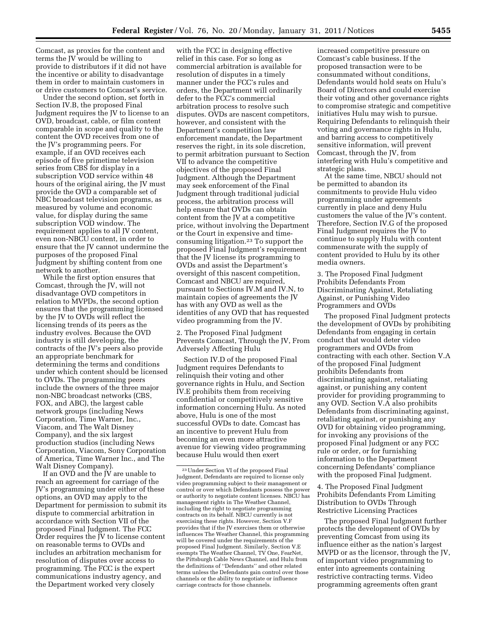Comcast, as proxies for the content and terms the JV would be willing to provide to distributors if it did not have the incentive or ability to disadvantage them in order to maintain customers in or drive customers to Comcast's service.

Under the second option, set forth in Section IV.B, the proposed Final Judgment requires the JV to license to an OVD, broadcast, cable, or film content comparable in scope and quality to the content the OVD receives from one of the JV's programming peers. For example, if an OVD receives each episode of five primetime television series from CBS for display in a subscription VOD service within 48 hours of the original airing, the JV must provide the OVD a comparable set of NBC broadcast television programs, as measured by volume and economic value, for display during the same subscription VOD window. The requirement applies to all JV content, even non-NBCU content, in order to ensure that the JV cannot undermine the purposes of the proposed Final Judgment by shifting content from one network to another.

While the first option ensures that Comcast, through the JV, will not disadvantage OVD competitors in relation to MVPDs, the second option ensures that the programming licensed by the JV to OVDs will reflect the licensing trends of its peers as the industry evolves. Because the OVD industry is still developing, the contracts of the JV's peers also provide an appropriate benchmark for determining the terms and conditions under which content should be licensed to OVDs. The programming peers include the owners of the three major non-NBC broadcast networks (CBS, FOX, and ABC), the largest cable network groups (including News Corporation, Time Warner, Inc., Viacom, and The Walt Disney Company), and the six largest production studios (including News Corporation, Viacom, Sony Corporation of America, Time Warner Inc., and The Walt Disney Company).

If an OVD and the JV are unable to reach an agreement for carriage of the JV's programming under either of these options, an OVD may apply to the Department for permission to submit its dispute to commercial arbitration in accordance with Section VII of the proposed Final Judgment. The FCC Order requires the JV to license content on reasonable terms to OVDs and includes an arbitration mechanism for resolution of disputes over access to programming. The FCC is the expert communications industry agency, and the Department worked very closely

with the FCC in designing effective relief in this case. For so long as commercial arbitration is available for resolution of disputes in a timely manner under the FCC's rules and orders, the Department will ordinarily defer to the FCC's commercial arbitration process to resolve such disputes. OVDs are nascent competitors, however, and consistent with the Department's competition law enforcement mandate, the Department reserves the right, in its sole discretion, to permit arbitration pursuant to Section VII to advance the competitive objectives of the proposed Final Judgment. Although the Department may seek enforcement of the Final Judgment through traditional judicial process, the arbitration process will help ensure that OVDs can obtain content from the JV at a competitive price, without involving the Department or the Court in expensive and timeconsuming litigation.23 To support the proposed Final Judgment's requirement that the JV license its programming to OVDs and assist the Department's oversight of this nascent competition, Comcast and NBCU are required, pursuant to Sections IV.M and IV.N, to maintain copies of agreements the JV has with any OVD as well as the identities of any OVD that has requested video programming from the JV.

2. The Proposed Final Judgment Prevents Comcast, Through the JV, From Adversely Affecting Hulu

Section IV.D of the proposed Final Judgment requires Defendants to relinquish their voting and other governance rights in Hulu, and Section IV.E prohibits them from receiving confidential or competitively sensitive information concerning Hulu. As noted above, Hulu is one of the most successful OVDs to date. Comcast has an incentive to prevent Hulu from becoming an even more attractive avenue for viewing video programming because Hulu would then exert

increased competitive pressure on Comcast's cable business. If the proposed transaction were to be consummated without conditions, Defendants would hold seats on Hulu's Board of Directors and could exercise their voting and other governance rights to compromise strategic and competitive initiatives Hulu may wish to pursue. Requiring Defendants to relinquish their voting and governance rights in Hulu, and barring access to competitively sensitive information, will prevent Comcast, through the JV, from interfering with Hulu's competitive and strategic plans.

At the same time, NBCU should not be permitted to abandon its commitments to provide Hulu video programming under agreements currently in place and deny Hulu customers the value of the JV's content. Therefore, Section IV.G of the proposed Final Judgment requires the JV to continue to supply Hulu with content commensurate with the supply of content provided to Hulu by its other media owners.

3. The Proposed Final Judgment Prohibits Defendants From Discriminating Against, Retaliating Against, or Punishing Video Programmers and OVDs

The proposed Final Judgment protects the development of OVDs by prohibiting Defendants from engaging in certain conduct that would deter video programmers and OVDs from contracting with each other. Section V.A of the proposed Final Judgment prohibits Defendants from discriminating against, retaliating against, or punishing any content provider for providing programming to any OVD. Section V.A also prohibits Defendants from discriminating against, retaliating against, or punishing any OVD for obtaining video programming, for invoking any provisions of the proposed Final Judgment or any FCC rule or order, or for furnishing information to the Department concerning Defendants' compliance with the proposed Final Judgment.

4. The Proposed Final Judgment Prohibits Defendants From Limiting Distribution to OVDs Through Restrictive Licensing Practices

The proposed Final Judgment further protects the development of OVDs by preventing Comcast from using its influence either as the nation's largest MVPD or as the licensor, through the JV, of important video programming to enter into agreements containing restrictive contracting terms. Video programming agreements often grant

<sup>23</sup>Under Section VI of the proposed Final Judgment, Defendants are required to license only video programming subject to their management or control or over which Defendants possess the power or authority to negotiate content licenses. NBCU has management rights in The Weather Channel, including the right to negotiate programming contracts on its behalf. NBCU currently is not exercising these rights. However, Section V.F provides that if the JV exercises them or otherwise influences The Weather Channel, this programming will be covered under the requirements of the proposed Final Judgment. Similarly, Section V.E exempts The Weather Channel, TV One, FearNet, the Pittsburgh Cable News Channel, and Hulu from the definitions of ''Defendants'' and other related terms unless the Defendants gain control over those channels or the ability to negotiate or influence carriage contracts for those channels.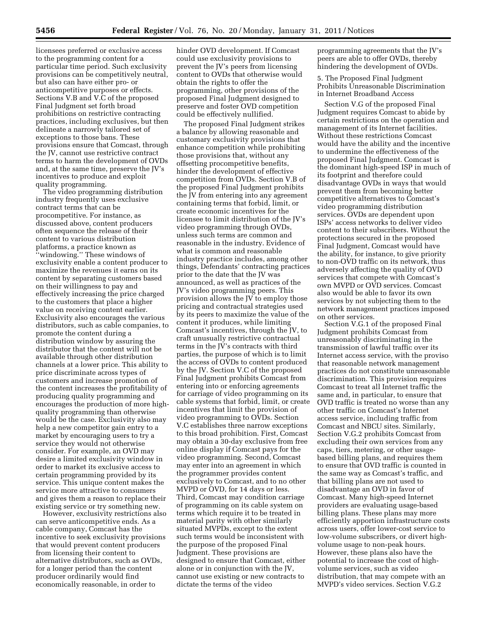licensees preferred or exclusive access to the programming content for a particular time period. Such exclusivity provisions can be competitively neutral, but also can have either pro- or anticompetitive purposes or effects. Sections V.B and V.C of the proposed Final Judgment set forth broad prohibitions on restrictive contracting practices, including exclusives, but then delineate a narrowly tailored set of exceptions to those bans. These provisions ensure that Comcast, through the JV, cannot use restrictive contract terms to harm the development of OVDs and, at the same time, preserve the JV's incentives to produce and exploit quality programming.

The video programming distribution industry frequently uses exclusive contract terms that can be procompetitive. For instance, as discussed above, content producers often sequence the release of their content to various distribution platforms, a practice known as ''windowing.'' These windows of exclusivity enable a content producer to maximize the revenues it earns on its content by separating customers based on their willingness to pay and effectively increasing the price charged to the customers that place a higher value on receiving content earlier. Exclusivity also encourages the various distributors, such as cable companies, to promote the content during a distribution window by assuring the distributor that the content will not be available through other distribution channels at a lower price. This ability to price discriminate across types of customers and increase promotion of the content increases the profitability of producing quality programming and encourages the production of more highquality programming than otherwise would be the case. Exclusivity also may help a new competitor gain entry to a market by encouraging users to try a service they would not otherwise consider. For example, an OVD may desire a limited exclusivity window in order to market its exclusive access to certain programming provided by its service. This unique content makes the service more attractive to consumers and gives them a reason to replace their existing service or try something new.

However, exclusivity restrictions also can serve anticompetitive ends. As a cable company, Comcast has the incentive to seek exclusivity provisions that would prevent content producers from licensing their content to alternative distributors, such as OVDs, for a longer period than the content producer ordinarily would find economically reasonable, in order to

hinder OVD development. If Comcast could use exclusivity provisions to prevent the JV's peers from licensing content to OVDs that otherwise would obtain the rights to offer the programming, other provisions of the proposed Final Judgment designed to preserve and foster OVD competition could be effectively nullified.

The proposed Final Judgment strikes a balance by allowing reasonable and customary exclusivity provisions that enhance competition while prohibiting those provisions that, without any offsetting procompetitive benefits, hinder the development of effective competition from OVDs. Section V.B of the proposed Final Judgment prohibits the JV from entering into any agreement containing terms that forbid, limit, or create economic incentives for the licensee to limit distribution of the JV's video programming through OVDs, unless such terms are common and reasonable in the industry. Evidence of what is common and reasonable industry practice includes, among other things, Defendants' contracting practices prior to the date that the JV was announced, as well as practices of the JV's video programming peers. This provision allows the JV to employ those pricing and contractual strategies used by its peers to maximize the value of the content it produces, while limiting Comcast's incentives, through the JV, to craft unusually restrictive contractual terms in the JV's contracts with third parties, the purpose of which is to limit the access of OVDs to content produced by the JV. Section V.C of the proposed Final Judgment prohibits Comcast from entering into or enforcing agreements for carriage of video programming on its cable systems that forbid, limit, or create incentives that limit the provision of video programming to OVDs. Section V.C establishes three narrow exceptions to this broad prohibition. First, Comcast may obtain a 30-day exclusive from free online display if Comcast pays for the video programming. Second, Comcast may enter into an agreement in which the programmer provides content exclusively to Comcast, and to no other MVPD or OVD, for 14 days or less. Third, Comcast may condition carriage of programming on its cable system on terms which require it to be treated in material parity with other similarly situated MVPDs, except to the extent such terms would be inconsistent with the purpose of the proposed Final Judgment. These provisions are designed to ensure that Comcast, either alone or in conjunction with the JV, cannot use existing or new contracts to dictate the terms of the video

programming agreements that the JV's peers are able to offer OVDs, thereby hindering the development of OVDs.

5. The Proposed Final Judgment Prohibits Unreasonable Discrimination in Internet Broadband Access

Section V.G of the proposed Final Judgment requires Comcast to abide by certain restrictions on the operation and management of its Internet facilities. Without these restrictions Comcast would have the ability and the incentive to undermine the effectiveness of the proposed Final Judgment. Comcast is the dominant high-speed ISP in much of its footprint and therefore could disadvantage OVDs in ways that would prevent them from becoming better competitive alternatives to Comcast's video programming distribution services. OVDs are dependent upon ISPs' access networks to deliver video content to their subscribers. Without the protections secured in the proposed Final Judgment, Comcast would have the ability, for instance, to give priority to non-OVD traffic on its network, thus adversely affecting the quality of OVD services that compete with Comcast's own MVPD or OVD services. Comcast also would be able to favor its own services by not subjecting them to the network management practices imposed on other services.

Section V.G.1 of the proposed Final Judgment prohibits Comcast from unreasonably discriminating in the transmission of lawful traffic over its Internet access service, with the proviso that reasonable network management practices do not constitute unreasonable discrimination. This provision requires Comcast to treat all Internet traffic the same and, in particular, to ensure that OVD traffic is treated no worse than any other traffic on Comcast's Internet access service, including traffic from Comcast and NBCU sites. Similarly, Section V.G.2 prohibits Comcast from excluding their own services from any caps, tiers, metering, or other usagebased billing plans, and requires them to ensure that OVD traffic is counted in the same way as Comcast's traffic, and that billing plans are not used to disadvantage an OVD in favor of Comcast. Many high-speed Internet providers are evaluating usage-based billing plans. These plans may more efficiently apportion infrastructure costs across users, offer lower-cost service to low-volume subscribers, or divert highvolume usage to non-peak hours. However, these plans also have the potential to increase the cost of highvolume services, such as video distribution, that may compete with an MVPD's video services. Section V.G.2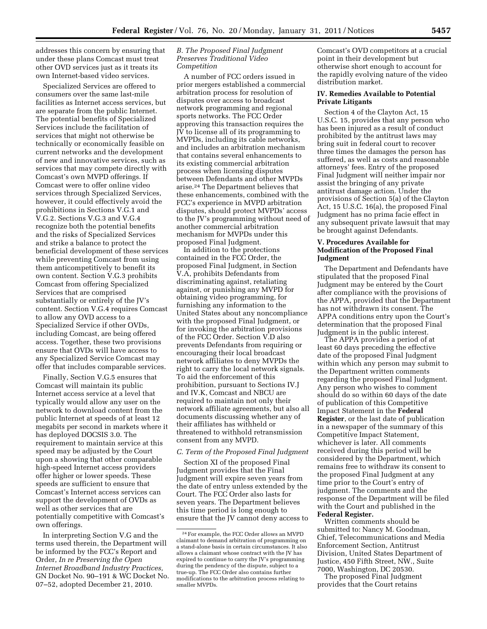addresses this concern by ensuring that under these plans Comcast must treat other OVD services just as it treats its own Internet-based video services.

Specialized Services are offered to consumers over the same last-mile facilities as Internet access services, but are separate from the public Internet. The potential benefits of Specialized Services include the facilitation of services that might not otherwise be technically or economically feasible on current networks and the development of new and innovative services, such as services that may compete directly with Comcast's own MVPD offerings. If Comcast were to offer online video services through Specialized Services, however, it could effectively avoid the prohibitions in Sections V.G.1 and V.G.2. Sections V.G.3 and V.G.4 recognize both the potential benefits and the risks of Specialized Services and strike a balance to protect the beneficial development of these services while preventing Comcast from using them anticompetitively to benefit its own content. Section V.G.3 prohibits Comcast from offering Specialized Services that are comprised substantially or entirely of the JV's content. Section V.G.4 requires Comcast to allow any OVD access to a Specialized Service if other OVDs, including Comcast, are being offered access. Together, these two provisions ensure that OVDs will have access to any Specialized Service Comcast may offer that includes comparable services.

Finally, Section V.G.5 ensures that Comcast will maintain its public Internet access service at a level that typically would allow any user on the network to download content from the public Internet at speeds of at least 12 megabits per second in markets where it has deployed DOCSIS 3.0. The requirement to maintain service at this speed may be adjusted by the Court upon a showing that other comparable high-speed Internet access providers offer higher or lower speeds. These speeds are sufficient to ensure that Comcast's Internet access services can support the development of OVDs as well as other services that are potentially competitive with Comcast's own offerings.

In interpreting Section V.G and the terms used therein, the Department will be informed by the FCC's Report and Order, *In re Preserving the Open Internet Broadband Industry Practices,*  GN Docket No. 90–191 & WC Docket No. 07–52, adopted December 21, 2010.

#### *B. The Proposed Final Judgment Preserves Traditional Video Competition*

A number of FCC orders issued in prior mergers established a commercial arbitration process for resolution of disputes over access to broadcast network programming and regional sports networks. The FCC Order approving this transaction requires the JV to license all of its programming to MVPDs, including its cable networks, and includes an arbitration mechanism that contains several enhancements to its existing commercial arbitration process when licensing disputes between Defendants and other MVPDs arise.24 The Department believes that these enhancements, combined with the FCC's experience in MVPD arbitration disputes, should protect MVPDs' access to the JV's programming without need of another commercial arbitration mechanism for MVPDs under this proposed Final Judgment.

In addition to the protections contained in the FCC Order, the proposed Final Judgment, in Section V.A, prohibits Defendants from discriminating against, retaliating against, or punishing any MVPD for obtaining video programming, for furnishing any information to the United States about any noncompliance with the proposed Final Judgment, or for invoking the arbitration provisions of the FCC Order. Section V.D also prevents Defendants from requiring or encouraging their local broadcast network affiliates to deny MVPDs the right to carry the local network signals. To aid the enforcement of this prohibition, pursuant to Sections IV.J and IV.K, Comcast and NBCU are required to maintain not only their network affiliate agreements, but also all documents discussing whether any of their affiliates has withheld or threatened to withhold retransmission consent from any MVPD.

#### *C. Term of the Proposed Final Judgment*

Section XI of the proposed Final Judgment provides that the Final Judgment will expire seven years from the date of entry unless extended by the Court. The FCC Order also lasts for seven years. The Department believes this time period is long enough to ensure that the JV cannot deny access to Comcast's OVD competitors at a crucial point in their development but otherwise short enough to account for the rapidly evolving nature of the video distribution market.

#### **IV. Remedies Available to Potential Private Litigants**

Section 4 of the Clayton Act, 15 U.S.C. 15, provides that any person who has been injured as a result of conduct prohibited by the antitrust laws may bring suit in federal court to recover three times the damages the person has suffered, as well as costs and reasonable attorneys' fees. Entry of the proposed Final Judgment will neither impair nor assist the bringing of any private antitrust damage action. Under the provisions of Section 5(a) of the Clayton Act, 15 U.S.C. 16(a), the proposed Final Judgment has no prima facie effect in any subsequent private lawsuit that may be brought against Defendants.

#### **V. Procedures Available for Modification of the Proposed Final Judgment**

The Department and Defendants have stipulated that the proposed Final Judgment may be entered by the Court after compliance with the provisions of the APPA, provided that the Department has not withdrawn its consent. The APPA conditions entry upon the Court's determination that the proposed Final Judgment is in the public interest.

The APPA provides a period of at least 60 days preceding the effective date of the proposed Final Judgment within which any person may submit to the Department written comments regarding the proposed Final Judgment. Any person who wishes to comment should do so within 60 days of the date of publication of this Competitive Impact Statement in the **Federal Register**, or the last date of publication in a newspaper of the summary of this Competitive Impact Statement, whichever is later. All comments received during this period will be considered by the Department, which remains free to withdraw its consent to the proposed Final Judgment at any time prior to the Court's entry of judgment. The comments and the response of the Department will be filed with the Court and published in the **Federal Register.** 

Written comments should be submitted to: Nancy M. Goodman, Chief, Telecommunications and Media Enforcement Section, Antitrust Division, United States Department of Justice, 450 Fifth Street, NW., Suite 7000, Washington, DC 20530.

The proposed Final Judgment provides that the Court retains

<sup>24</sup>For example, the FCC Order allows an MVPD claimant to demand arbitration of programming on a stand-alone basis in certain circumstances. It also allows a claimant whose contract with the JV has expired to continue to carry the JV's programming during the pendency of the dispute, subject to a true-up. The FCC Order also contains further modifications to the arbitration process relating to smaller MVPDs.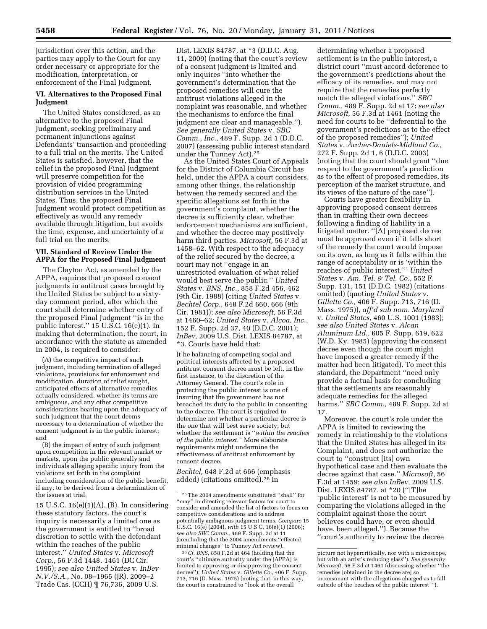jurisdiction over this action, and the parties may apply to the Court for any order necessary or appropriate for the modification, interpretation, or enforcement of the Final Judgment.

#### **VI. Alternatives to the Proposed Final Judgment**

The United States considered, as an alternative to the proposed Final Judgment, seeking preliminary and permanent injunctions against Defendants' transaction and proceeding to a full trial on the merits. The United States is satisfied, however, that the relief in the proposed Final Judgment will preserve competition for the provision of video programming distribution services in the United States. Thus, the proposed Final Judgment would protect competition as effectively as would any remedy available through litigation, but avoids the time, expense, and uncertainty of a full trial on the merits.

#### **VII. Standard of Review Under the APPA for the Proposed Final Judgment**

The Clayton Act, as amended by the APPA, requires that proposed consent judgments in antitrust cases brought by the United States be subject to a sixtyday comment period, after which the court shall determine whether entry of the proposed Final Judgment ''is in the public interest.'' 15 U.S.C. 16(e)(1). In making that determination, the court, in accordance with the statute as amended in 2004, is required to consider:

(A) the competitive impact of such judgment, including termination of alleged violations, provisions for enforcement and modification, duration of relief sought, anticipated effects of alternative remedies actually considered, whether its terms are ambiguous, and any other competitive considerations bearing upon the adequacy of such judgment that the court deems necessary to a determination of whether the consent judgment is in the public interest; and

(B) the impact of entry of such judgment upon competition in the relevant market or markets, upon the public generally and individuals alleging specific injury from the violations set forth in the complaint including consideration of the public benefit, if any, to be derived from a determination of the issues at trial.

15 U.S.C. 16(e)(1)(A), (B). In considering these statutory factors, the court's inquiry is necessarily a limited one as the government is entitled to ''broad discretion to settle with the defendant within the reaches of the public interest.'' *United States* v. *Microsoft Corp.,* 56 F.3d 1448, 1461 (DC Cir. 1995); *see also United States* v. *InBev N.V./S.A.,* No. 08–1965 (JR), 2009–2 Trade Cas. (CCH) ¶ 76,736, 2009 U.S.

Dist. LEXIS 84787, at \*3 (D.D.C. Aug. 11, 2009) (noting that the court's review of a consent judgment is limited and only inquires ''into whether the government's determination that the proposed remedies will cure the antitrust violations alleged in the complaint was reasonable, and whether the mechanisms to enforce the final judgment are clear and manageable.''). *See generally United States* v. *SBC Comm., Inc.,* 489 F. Supp. 2d 1 (D.D.C. 2007) (assessing public interest standard under the Tunney Act).25

As the United States Court of Appeals for the District of Columbia Circuit has held, under the APPA a court considers, among other things, the relationship between the remedy secured and the specific allegations set forth in the government's complaint, whether the decree is sufficiently clear, whether enforcement mechanisms are sufficient, and whether the decree may positively harm third parties. *Microsoft,* 56 F.3d at 1458–62. With respect to the adequacy of the relief secured by the decree, a court may not ''engage in an unrestricted evaluation of what relief would best serve the public.'' *United States* v. *BNS, Inc.,* 858 F.2d 456, 462 (9th Cir. 1988) (citing *United States* v. *Bechtel Corp.,* 648 F.2d 660, 666 (9th Cir. 1981)); *see also Microsoft,* 56 F.3d at 1460–62; *United States* v. *Alcoa, Inc.,*  152 F. Supp. 2d 37, 40 (D.D.C. 2001); *InBev,* 2009 U.S. Dist. LEXIS 84787, at \*3. Courts have held that:

[t]he balancing of competing social and political interests affected by a proposed antitrust consent decree must be left, in the first instance, to the discretion of the Attorney General. The court's role in protecting the public interest is one of insuring that the government has not breached its duty to the public in consenting to the decree. The court is required to determine not whether a particular decree is the one that will best serve society, but whether the settlement is ''*within the reaches of the public interest.''* More elaborate requirements might undermine the effectiveness of antitrust enforcement by consent decree.

*Bechtel,* 648 F.2d at 666 (emphasis added) (citations omitted).26 In

determining whether a proposed settlement is in the public interest, a district court ''must accord deference to the government's predictions about the efficacy of its remedies, and may not require that the remedies perfectly match the alleged violations.'' *SBC Comm.,* 489 F. Supp. 2d at 17; *see also Microsoft,* 56 F.3d at 1461 (noting the need for courts to be ''deferential to the government's predictions as to the effect of the proposed remedies''); *United States* v. *Archer-Daniels-Midland Co.,*  272 F. Supp. 2d 1, 6 (D.D.C. 2003) (noting that the court should grant ''due respect to the government's prediction as to the effect of proposed remedies, its perception of the market structure, and its views of the nature of the case'').

Courts have greater flexibility in approving proposed consent decrees than in crafting their own decrees following a finding of liability in a litigated matter. ''[A] proposed decree must be approved even if it falls short of the remedy the court would impose on its own, as long as it falls within the range of acceptability or is 'within the reaches of public interest.''' *United States* v. *Am. Tel. & Tel. Co.,* 552 F. Supp. 131, 151 (D.D.C. 1982) (citations omitted) (quoting *United States* v. *Gillette Co.,* 406 F. Supp. 713, 716 (D. Mass. 1975)), *aff'd sub nom. Maryland*  v. *United States,* 460 U.S. 1001 (1983); *see also United States* v. *Alcan Aluminum Ltd.,* 605 F. Supp. 619, 622 (W.D. Ky. 1985) (approving the consent decree even though the court might have imposed a greater remedy if the matter had been litigated). To meet this standard, the Department ''need only provide a factual basis for concluding that the settlements are reasonably adequate remedies for the alleged harms.'' *SBC Comm.,* 489 F. Supp. 2d at 17.

Moreover, the court's role under the APPA is limited to reviewing the remedy in relationship to the violations that the United States has alleged in its Complaint, and does not authorize the court to ''construct [its] own hypothetical case and then evaluate the decree against that case.'' *Microsoft,* 56 F.3d at 1459; *see also InBev,* 2009 U.S. Dist. LEXIS 84787, at \*20 (''[T]he 'public interest' is not to be measured by comparing the violations alleged in the complaint against those the court believes could have, or even should have, been alleged.''). Because the ''court's authority to review the decree

<sup>25</sup>The 2004 amendments substituted ''shall'' for ''may'' in directing relevant factors for court to consider and amended the list of factors to focus on competitive considerations and to address potentially ambiguous judgment terms. *Compare* 15 U.S.C. 16(e) (2004), *with* 15 U.S.C. 16(e)(1) (2006); *see also SBC Comm.,* 489 F. Supp. 2d at 11 (concluding that the 2004 amendments ''effected minimal changes'' to Tunney Act review).

<sup>26</sup>*Cf. BNS,* 858 F.2d at 464 (holding that the court's ''ultimate authority under the [APPA] is limited to approving or disapproving the consent decree''); *United States* v. *Gillette Co.,* 406 F. Supp. 713, 716 (D. Mass. 1975) (noting that, in this way, the court is constrained to ''look at the overall

picture not hypercritically, nor with a microscope, but with an artist's reducing glass''). *See generally Microsoft,* 56 F.3d at 1461 (discussing whether ''the remedies [obtained in the decree are] so inconsonant with the allegations charged as to fall outside of the 'reaches of the public interest' '').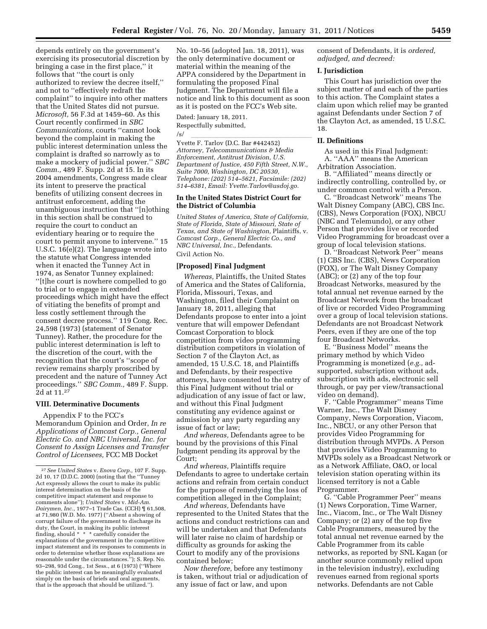depends entirely on the government's exercising its prosecutorial discretion by bringing a case in the first place,'' it follows that ''the court is only authorized to review the decree itself,'' and not to ''effectively redraft the complaint'' to inquire into other matters that the United States did not pursue. *Microsoft,* 56 F.3d at 1459–60. As this Court recently confirmed in *SBC Communications,* courts ''cannot look beyond the complaint in making the public interest determination unless the complaint is drafted so narrowly as to make a mockery of judicial power.'' *SBC Comm.,* 489 F. Supp. 2d at 15. In its 2004 amendments, Congress made clear its intent to preserve the practical benefits of utilizing consent decrees in antitrust enforcement, adding the unambiguous instruction that ''[n]othing in this section shall be construed to require the court to conduct an evidentiary hearing or to require the court to permit anyone to intervene.'' 15 U.S.C. 16(e)(2). The language wrote into the statute what Congress intended when it enacted the Tunney Act in 1974, as Senator Tunney explained: ''[t]he court is nowhere compelled to go to trial or to engage in extended proceedings which might have the effect of vitiating the benefits of prompt and less costly settlement through the consent decree process.'' 119 Cong. Rec. 24,598 (1973) (statement of Senator Tunney). Rather, the procedure for the public interest determination is left to the discretion of the court, with the recognition that the court's ''scope of review remains sharply proscribed by precedent and the nature of Tunney Act proceedings.'' *SBC Comm.,* 489 F. Supp. 2d at 11.27

#### **VIII. Determinative Documents**

Appendix F to the FCC's Memorandum Opinion and Order, *In re Applications of Comcast Corp., General Electric Co. and NBC Universal, Inc. for Consent to Assign Licenses and Transfer Control of Licensees,* FCC MB Docket

No. 10–56 (adopted Jan. 18, 2011), was the only determinative document or material within the meaning of the APPA considered by the Department in formulating the proposed Final Judgment. The Department will file a notice and link to this document as soon as it is posted on the FCC's Web site.

Dated: January 18, 2011. Respectfully submitted,

/s/<br>Yvette F. Tarlov (D.C. Bar #442452) *Attorney, Telecommunications & Media Enforcement, Antitrust Division, U.S. Department of Justice, 450 Fifth Street, N.W., Suite 7000, Washington, DC 20530, Telephone: (202) 514–5621, Facsimile: (202) 514–6381, Email: [Yvette.Tarlov@usdoj.go.](mailto:Yvette.Tarlov@usdoj.gov)* 

#### **In the United States District Court for the District of Columbia**

*United States of America, State of California, State of Florida, State of Missouri, State of Texas, and State of Washington,* Plaintiffs, v. *Comcast Corp., General Electric Co., and NBC Universal, Inc.,* Defendants. Civil Action No.

#### **[Proposed] Final Judgment**

*Whereas,* Plaintiffs, the United States of America and the States of California, Florida, Missouri, Texas, and Washington, filed their Complaint on January 18, 2011, alleging that Defendants propose to enter into a joint venture that will empower Defendant Comcast Corporation to block competition from video programming distribution competitors in violation of Section 7 of the Clayton Act, as amended, 15 U.S.C. 18, and Plaintiffs and Defendants, by their respective attorneys, have consented to the entry of this Final Judgment without trial or adjudication of any issue of fact or law, and without this Final Judgment constituting any evidence against or admission by any party regarding any issue of fact or law;

*And whereas,* Defendants agree to be bound by the provisions of this Final Judgment pending its approval by the Court;

*And whereas,* Plaintiffs require Defendants to agree to undertake certain actions and refrain from certain conduct for the purpose of remedying the loss of competition alleged in the Complaint;

*And whereas,* Defendants have represented to the United States that the actions and conduct restrictions can and will be undertaken and that Defendants will later raise no claim of hardship or difficulty as grounds for asking the Court to modify any of the provisions contained below;

*Now therefore,* before any testimony is taken, without trial or adjudication of any issue of fact or law, and upon

consent of Defendants, it is *ordered, adjudged, and decreed:* 

#### **I. Jurisdiction**

This Court has jurisdiction over the subject matter of and each of the parties to this action. The Complaint states a claim upon which relief may be granted against Defendants under Section 7 of the Clayton Act, as amended, 15 U.S.C. 18.

#### **II. Definitions**

As used in this Final Judgment: A. ''AAA'' means the American Arbitration Association.

B. ''Affiliated'' means directly or indirectly controlling, controlled by, or under common control with a Person.

C. ''Broadcast Network'' means The Walt Disney Company (ABC), CBS Inc. (CBS), News Corporation (FOX), NBCU (NBC and Telemundo), or any other Person that provides live or recorded Video Programming for broadcast over a group of local television stations.

D. ''Broadcast Network Peer'' means (1) CBS Inc. (CBS), News Corporation (FOX), or The Walt Disney Company (ABC); or (2) any of the top four Broadcast Networks, measured by the total annual net revenue earned by the Broadcast Network from the broadcast of live or recorded Video Programming over a group of local television stations. Defendants are not Broadcast Network Peers, even if they are one of the top four Broadcast Networks.

E. ''Business Model'' means the primary method by which Video Programming is monetized (*e.g.,* adsupported, subscription without ads, subscription with ads, electronic sell through, or pay per view/transactional video on demand).

F. ''Cable Programmer'' means Time Warner, Inc., The Walt Disney Company, News Corporation, Viacom, Inc., NBCU, or any other Person that provides Video Programming for distribution through MVPDs. A Person that provides Video Programming to MVPDs solely as a Broadcast Network or as a Network Affiliate, O&O, or local television station operating within its licensed territory is not a Cable Programmer.

G. ''Cable Programmer Peer'' means (1) News Corporation, Time Warner, Inc., Viacom, Inc., or The Walt Disney Company; or (2) any of the top five Cable Programmers, measured by the total annual net revenue earned by the Cable Programmer from its cable networks, as reported by SNL Kagan (or another source commonly relied upon in the television industry), excluding revenues earned from regional sports networks. Defendants are not Cable

<sup>27</sup>*See United States* v. *Enova Corp.,* 107 F. Supp. 2d 10, 17 (D.D.C. 2000) (noting that the ''Tunney Act expressly allows the court to make its public interest determination on the basis of the competitive impact statement and response to comments alone''); *United States* v*. Mid-Am. Dairymen, Inc.,* 1977–1 Trade Cas. (CCH) ¶ 61,508, at 71,980 (W.D. Mo. 1977) (''Absent a showing of corrupt failure of the government to discharge its duty, the Court, in making its public interest finding, should \* \* \* carefully consider the explanations of the government in the competitive impact statement and its responses to comments in order to determine whether those explanations are reasonable under the circumstances.''); S. Rep. No. 93–298, 93d Cong., 1st Sess., at 6 (1973) (''Where the public interest can be meaningfully evaluated simply on the basis of briefs and oral arguments, that is the approach that should be utilized.'').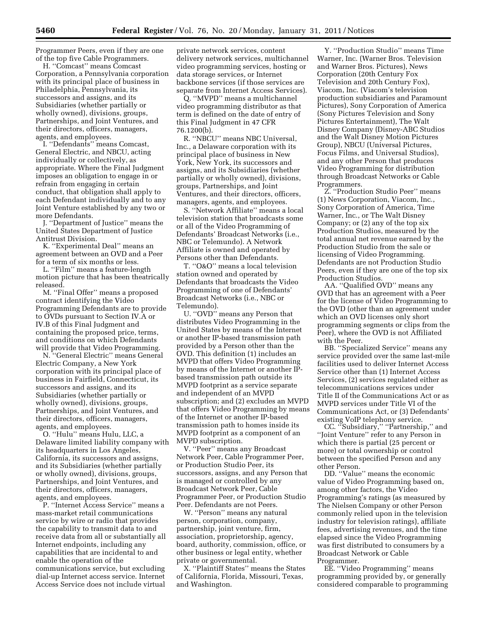Programmer Peers, even if they are one of the top five Cable Programmers.

H. ''Comcast'' means Comcast Corporation, a Pennsylvania corporation with its principal place of business in Philadelphia, Pennsylvania, its successors and assigns, and its Subsidiaries (whether partially or wholly owned), divisions, groups, Partnerships, and Joint Ventures, and their directors, officers, managers, agents, and employees.

I. ''Defendants'' means Comcast, General Electric, and NBCU, acting individually or collectively, as appropriate. Where the Final Judgment imposes an obligation to engage in or refrain from engaging in certain conduct, that obligation shall apply to each Defendant individually and to any Joint Venture established by any two or more Defendants.

J. ''Department of Justice'' means the United States Department of Justice Antitrust Division.

K. ''Experimental Deal'' means an agreement between an OVD and a Peer for a term of six months or less.

L. ''Film'' means a feature-length motion picture that has been theatrically released.

M. ''Final Offer'' means a proposed contract identifying the Video Programming Defendants are to provide to OVDs pursuant to Section IV.A or IV.B of this Final Judgment and containing the proposed price, terms, and conditions on which Defendants will provide that Video Programming.

N. ''General Electric'' means General Electric Company, a New York corporation with its principal place of business in Fairfield, Connecticut, its successors and assigns, and its Subsidiaries (whether partially or wholly owned), divisions, groups, Partnerships, and Joint Ventures, and their directors, officers, managers, agents, and employees.

O. ''Hulu'' means Hulu, LLC, a Delaware limited liability company with its headquarters in Los Angeles, California, its successors and assigns, and its Subsidiaries (whether partially or wholly owned), divisions, groups, Partnerships, and Joint Ventures, and their directors, officers, managers, agents, and employees.

P. ''Internet Access Service'' means a mass-market retail communications service by wire or radio that provides the capability to transmit data to and receive data from all or substantially all Internet endpoints, including any capabilities that are incidental to and enable the operation of the communications service, but excluding dial-up Internet access service. Internet Access Service does not include virtual

private network services, content delivery network services, multichannel video programming services, hosting or data storage services, or Internet backbone services (if those services are separate from Internet Access Services).

Q. ''MVPD'' means a multichannel video programming distributor as that term is defined on the date of entry of this Final Judgment in 47 CFR 76.1200(b).

R. ''NBCU'' means NBC Universal, Inc., a Delaware corporation with its principal place of business in New York, New York, its successors and assigns, and its Subsidiaries (whether partially or wholly owned), divisions, groups, Partnerships, and Joint Ventures, and their directors, officers, managers, agents, and employees.

S. ''Network Affiliate'' means a local television station that broadcasts some or all of the Video Programming of Defendants' Broadcast Networks (i.e., NBC or Telemundo). A Network Affiliate is owned and operated by Persons other than Defendants.

T. ''O&O'' means a local television station owned and operated by Defendants that broadcasts the Video Programming of one of Defendants' Broadcast Networks (i.e., NBC or Telemundo).

U. ''OVD'' means any Person that distributes Video Programming in the United States by means of the Internet or another IP-based transmission path provided by a Person other than the OVD. This definition (1) includes an MVPD that offers Video Programming by means of the Internet or another IPbased transmission path outside its MVPD footprint as a service separate and independent of an MVPD subscription; and (2) excludes an MVPD that offers Video Programming by means of the Internet or another IP-based transmission path to homes inside its MVPD footprint as a component of an MVPD subscription.

V. ''Peer'' means any Broadcast Network Peer, Cable Programmer Peer, or Production Studio Peer, its successors, assigns, and any Person that is managed or controlled by any Broadcast Network Peer, Cable Programmer Peer, or Production Studio Peer. Defendants are not Peers.

W. ''Person'' means any natural person, corporation, company, partnership, joint venture, firm, association, proprietorship, agency, board, authority, commission, office, or other business or legal entity, whether private or governmental.

X. ''Plaintiff States'' means the States of California, Florida, Missouri, Texas, and Washington.

Y. ''Production Studio'' means Time Warner, Inc. (Warner Bros. Television and Warner Bros. Pictures), News Corporation (20th Century Fox Television and 20th Century Fox), Viacom, Inc. (Viacom's television production subsidiaries and Paramount Pictures), Sony Corporation of America (Sony Pictures Television and Sony Pictures Entertainment), The Walt Disney Company (Disney-ABC Studios and the Walt Disney Motion Pictures Group), NBCU (Universal Pictures, Focus Films, and Universal Studios), and any other Person that produces Video Programming for distribution through Broadcast Networks or Cable Programmers.

Z. ''Production Studio Peer'' means (1) News Corporation, Viacom, Inc., Sony Corporation of America, Time Warner, Inc., or The Walt Disney Company; or (2) any of the top six Production Studios, measured by the total annual net revenue earned by the Production Studio from the sale or licensing of Video Programming. Defendants are not Production Studio Peers, even if they are one of the top six Production Studios.

AA. ''Qualified OVD'' means any OVD that has an agreement with a Peer for the license of Video Programming to the OVD (other than an agreement under which an OVD licenses only short programming segments or clips from the Peer), where the OVD is not Affiliated with the Peer.

BB. ''Specialized Service'' means any service provided over the same last-mile facilities used to deliver Internet Access Service other than (1) Internet Access Services, (2) services regulated either as telecommunications services under Title II of the Communications Act or as MVPD services under Title VI of the Communications Act, or (3) Defendants' existing VoIP telephony service.

CC. ''Subsidiary,'' ''Partnership,'' and ''Joint Venture'' refer to any Person in which there is partial (25 percent or more) or total ownership or control between the specified Person and any other Person.

DD. ''Value'' means the economic value of Video Programming based on, among other factors, the Video Programming's ratings (as measured by The Nielsen Company or other Person commonly relied upon in the television industry for television ratings), affiliate fees, advertising revenues, and the time elapsed since the Video Programming was first distributed to consumers by a Broadcast Network or Cable Programmer.

EE. ''Video Programming'' means programming provided by, or generally considered comparable to programming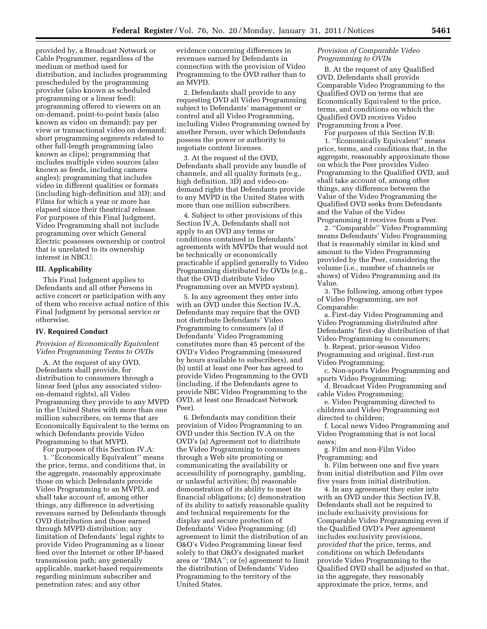provided by, a Broadcast Network or Cable Programmer, regardless of the medium or method used for distribution, and includes programming prescheduled by the programming provider (also known as scheduled programming or a linear feed); programming offered to viewers on an on-demand, point-to-point basis (also known as video on demand); pay per view or transactional video on demand; short programming segments related to other full-length programming (also known as clips); programming that includes multiple video sources (also known as feeds, including camera angles); programming that includes video in different qualities or formats (including high-definition and 3D); and Films for which a year or more has elapsed since their theatrical release. For purposes of this Final Judgment, Video Programming shall not include programming over which General Electric possesses ownership or control that is unrelated to its ownership interest in NBCU.

#### **III. Applicability**

This Final Judgment applies to Defendants and all other Persons in active concert or participation with any of them who receive actual notice of this Final Judgment by personal service or otherwise.

#### **IV. Required Conduct**

#### *Provision of Economically Equivalent Video Programming Terms to OVDs*

A. At the request of any OVD, Defendants shall provide, for distribution to consumers through a linear feed (plus any associated videoon-demand rights), all Video Programming they provide to any MVPD in the United States with more than one million subscribers, on terms that are Economically Equivalent to the terms on which Defendants provide Video Programming to that MVPD.

For purposes of this Section IV.A: 1. ''Economically Equivalent'' means the price, terms, and conditions that, in the aggregate, reasonably approximate those on which Defendants provide Video Programming to an MVPD, and shall take account of, among other things, any difference in advertising revenues earned by Defendants through OVD distribution and those earned through MVPD distribution; any limitation of Defendants' legal rights to provide Video Programming as a linear feed over the Internet or other IP-based transmission path; any generally applicable, market-based requirements regarding minimum subscriber and penetration rates; and any other

evidence concerning differences in revenues earned by Defendants in connection with the provision of Video Programming to the OVD rather than to an MVPD.

2. Defendants shall provide to any requesting OVD all Video Programming subject to Defendants' management or control and all Video Programming, including Video Programming owned by another Person, over which Defendants possess the power or authority to negotiate content licenses.

3. At the request of the OVD, Defendants shall provide any bundle of channels, and all quality formats (e.g., high definition, 3D) and video-ondemand rights that Defendants provide to any MVPD in the United States with more than one million subscribers.

4. Subject to other provisions of this Section IV.A, Defendants shall not apply to an OVD any terms or conditions contained in Defendants' agreements with MVPDs that would not be technically or economically practicable if applied generally to Video Programming distributed by OVDs (e.g., that the OVD distribute Video Programming over an MVPD system).

5. In any agreement they enter into with an OVD under this Section IV.A, Defendants may require that the OVD not distribute Defendants' Video Programming to consumers (a) if Defendants' Video Programming constitutes more than 45 percent of the OVD's Video Programming (measured by hours available to subscribers), and (b) until at least one Peer has agreed to provide Video Programming to the OVD (including, if the Defendants agree to provide NBC Video Programming to the OVD, at least one Broadcast Network Peer).

6. Defendants may condition their provision of Video Programming to an OVD under this Section IV.A on the OVD's (a) Agreement not to distribute the Video Programming to consumers through a Web site promoting or communicating the availability or accessibility of pornography, gambling, or unlawful activities; (b) reasonable demonstration of its ability to meet its financial obligations; (c) demonstration of its ability to satisfy reasonable quality and technical requirements for the display and secure protection of Defendants' Video Programming; (d) agreement to limit the distribution of an O&O's Video Programming linear feed solely to that O&O's designated market area or ''DMA''; or (e) agreement to limit the distribution of Defendants' Video Programming to the territory of the United States.

#### *Provision of Comparable Video Programming to OVDs*

B. At the request of any Qualified OVD, Defendants shall provide Comparable Video Programming to the Qualified OVD on terms that are Economically Equivalent to the price, terms, and conditions on which the Qualified OVD receives Video Programming from a Peer.

For purposes of this Section IV.B: 1. ''Economically Equivalent'' means price, terms, and conditions that, in the aggregate, reasonably approximate those on which the Peer provides Video Programming to the Qualified OVD, and shall take account of, among other things, any difference between the Value of the Video Programming the Qualified OVD seeks from Defendants and the Value of the Video

Programming it receives from a Peer. 2. ''Comparable'' Video Programming means Defendants' Video Programming that is reasonably similar in kind and amount to the Video Programming provided by the Peer, considering the volume (i.e., number of channels or shows) of Video Programming and its Value.

3. The following, among other types of Video Programming, are not Comparable:

a. First-day Video Programming and Video Programming distributed after Defendants' first-day distribution of that Video Programming to consumers;

b. Repeat, prior-season Video Programming and original, first-run Video Programming;

c. Non-sports Video Programming and sports Video Programming;

d. Broadcast Video Programming and cable Video Programming;

e. Video Programming directed to children and Video Programming not directed to children;

f. Local news Video Programming and Video Programming that is not local news;

g. Film and non-Film Video Programming; and

h. Film between one and five years from initial distribution and Film over five years from initial distribution.

4. In any agreement they enter into with an OVD under this Section IV.B, Defendants shall not be required to include exclusivity provisions for Comparable Video Programming even if the Qualified OVD's Peer agreement includes exclusivity provisions, *provided that* the price, terms, and conditions on which Defendants provide Video Programming to the Qualified OVD shall be adjusted so that, in the aggregate, they reasonably approximate the price, terms, and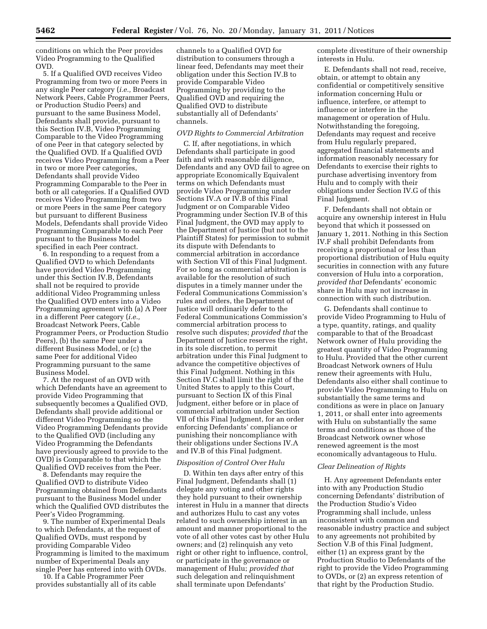conditions on which the Peer provides Video Programming to the Qualified OVD.

5. If a Qualified OVD receives Video Programming from two or more Peers in any single Peer category (*i.e.,* Broadcast Network Peers, Cable Programmer Peers, or Production Studio Peers) and pursuant to the same Business Model, Defendants shall provide, pursuant to this Section IV.B, Video Programming Comparable to the Video Programming of one Peer in that category selected by the Qualified OVD. If a Qualified OVD receives Video Programming from a Peer in two or more Peer categories, Defendants shall provide Video Programming Comparable to the Peer in both or all categories. If a Qualified OVD receives Video Programming from two or more Peers in the same Peer category but pursuant to different Business Models, Defendants shall provide Video Programming Comparable to each Peer pursuant to the Business Model specified in each Peer contract.

6. In responding to a request from a Qualified OVD to which Defendants have provided Video Programming under this Section IV.B, Defendants shall not be required to provide additional Video Programming unless the Qualified OVD enters into a Video Programming agreement with (a) A Peer in a different Peer category (*i.e.,*  Broadcast Network Peers, Cable Programmer Peers, or Production Studio Peers), (b) the same Peer under a different Business Model, or (c) the same Peer for additional Video Programming pursuant to the same Business Model.

7. At the request of an OVD with which Defendants have an agreement to provide Video Programming that subsequently becomes a Qualified OVD, Defendants shall provide additional or different Video Programming so the Video Programming Defendants provide to the Qualified OVD (including any Video Programming the Defendants have previously agreed to provide to the OVD) is Comparable to that which the Qualified OVD receives from the Peer.

8. Defendants may require the Qualified OVD to distribute Video Programming obtained from Defendants pursuant to the Business Model under which the Qualified OVD distributes the Peer's Video Programming.

9. The number of Experimental Deals to which Defendants, at the request of Qualified OVDs, must respond by providing Comparable Video Programming is limited to the maximum number of Experimental Deals any single Peer has entered into with OVDs.

10. If a Cable Programmer Peer provides substantially all of its cable

channels to a Qualified OVD for distribution to consumers through a linear feed, Defendants may meet their obligation under this Section IV.B to provide Comparable Video Programming by providing to the Qualified OVD and requiring the Qualified OVD to distribute substantially all of Defendants' channels.

#### *OVD Rights to Commercial Arbitration*

C. If, after negotiations, in which Defendants shall participate in good faith and with reasonable diligence, Defendants and any OVD fail to agree on appropriate Economically Equivalent terms on which Defendants must provide Video Programming under Sections IV.A or IV.B of this Final Judgment or on Comparable Video Programming under Section IV.B of this Final Judgment, the OVD may apply to the Department of Justice (but not to the Plaintiff States) for permission to submit its dispute with Defendants to commercial arbitration in accordance with Section VII of this Final Judgment. For so long as commercial arbitration is available for the resolution of such disputes in a timely manner under the Federal Communications Commission's rules and orders, the Department of Justice will ordinarily defer to the Federal Communications Commission's commercial arbitration process to resolve such disputes; *provided that* the Department of Justice reserves the right, in its sole discretion, to permit arbitration under this Final Judgment to advance the competitive objectives of this Final Judgment. Nothing in this Section IV.C shall limit the right of the United States to apply to this Court, pursuant to Section IX of this Final Judgment, either before or in place of commercial arbitration under Section VII of this Final Judgment, for an order enforcing Defendants' compliance or punishing their noncompliance with their obligations under Sections IV.A and IV.B of this Final Judgment.

#### *Disposition of Control Over Hulu*

D. Within ten days after entry of this Final Judgment, Defendants shall (1) delegate any voting and other rights they hold pursuant to their ownership interest in Hulu in a manner that directs and authorizes Hulu to cast any votes related to such ownership interest in an amount and manner proportional to the vote of all other votes cast by other Hulu owners; and (2) relinquish any veto right or other right to influence, control, or participate in the governance or management of Hulu; *provided that*  such delegation and relinquishment shall terminate upon Defendants'

complete divestiture of their ownership interests in Hulu.

E. Defendants shall not read, receive, obtain, or attempt to obtain any confidential or competitively sensitive information concerning Hulu or influence, interfere, or attempt to influence or interfere in the management or operation of Hulu. Notwithstanding the foregoing, Defendants may request and receive from Hulu regularly prepared, aggregated financial statements and information reasonably necessary for Defendants to exercise their rights to purchase advertising inventory from Hulu and to comply with their obligations under Section IV.G of this Final Judgment.

F. Defendants shall not obtain or acquire any ownership interest in Hulu beyond that which it possessed on January 1, 2011. Nothing in this Section IV.F shall prohibit Defendants from receiving a proportional or less than proportional distribution of Hulu equity securities in connection with any future conversion of Hulu into a corporation, *provided that* Defendants' economic share in Hulu may not increase in connection with such distribution.

G. Defendants shall continue to provide Video Programming to Hulu of a type, quantity, ratings, and quality comparable to that of the Broadcast Network owner of Hulu providing the greatest quantity of Video Programming to Hulu. Provided that the other current Broadcast Network owners of Hulu renew their agreements with Hulu, Defendants also either shall continue to provide Video Programming to Hulu on substantially the same terms and conditions as were in place on January 1, 2011, or shall enter into agreements with Hulu on substantially the same terms and conditions as those of the Broadcast Network owner whose renewed agreement is the most economically advantageous to Hulu.

#### *Clear Delineation of Rights*

H. Any agreement Defendants enter into with any Production Studio concerning Defendants' distribution of the Production Studio's Video Programming shall include, unless inconsistent with common and reasonable industry practice and subject to any agreements not prohibited by Section V.B of this Final Judgment, either (1) an express grant by the Production Studio to Defendants of the right to provide the Video Programming to OVDs, or (2) an express retention of that right by the Production Studio.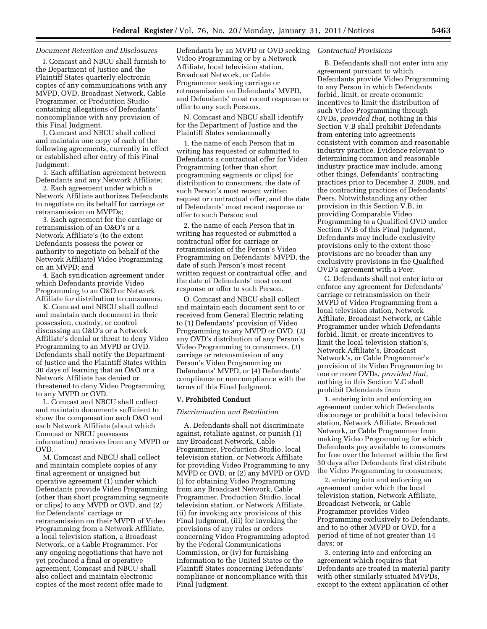#### *Document Retention and Disclosures*

I. Comcast and NBCU shall furnish to the Department of Justice and the Plaintiff States quarterly electronic copies of any communications with any MVPD, OVD, Broadcast Network, Cable Programmer, or Production Studio containing allegations of Defendants' noncompliance with any provision of this Final Judgment.

J. Comcast and NBCU shall collect and maintain one copy of each of the following agreements, currently in effect or established after entry of this Final Judgment:

1. Each affiliation agreement between Defendants and any Network Affiliate;

2. Each agreement under which a Network Affiliate authorizes Defendants to negotiate on its behalf for carriage or retransmission on MVPDs;

3. Each agreement for the carriage or retransmission of an O&O's or a Network Affiliate's (to the extent Defendants possess the power or authority to negotiate on behalf of the Network Affiliate) Video Programming on an MVPD; and

4. Each syndication agreement under which Defendants provide Video Programming to an O&O or Network Affiliate for distribution to consumers.

K. Comcast and NBCU shall collect and maintain each document in their possession, custody, or control discussing an O&O's or a Network Affiliate's denial or threat to deny Video Programming to an MVPD or OVD. Defendants shall notify the Department of Justice and the Plaintiff States within 30 days of learning that an O&O or a Network Affiliate has denied or threatened to deny Video Programming to any MVPD or OVD.

L. Comcast and NBCU shall collect and maintain documents sufficient to show the compensation each O&O and each Network Affiliate (about which Comcast or NBCU possesses information) receives from any MVPD or OVD.

M. Comcast and NBCU shall collect and maintain complete copies of any final agreement or unsigned but operative agreement (1) under which Defendants provide Video Programming (other than short programming segments or clips) to any MVPD or OVD, and (2) for Defendants' carriage or retransmission on their MVPD of Video Programming from a Network Affiliate, a local television station, a Broadcast Network, or a Cable Programmer. For any ongoing negotiations that have not yet produced a final or operative agreement, Comcast and NBCU shall also collect and maintain electronic copies of the most recent offer made to

Defendants by an MVPD or OVD seeking Video Programming or by a Network Affiliate, local television station, Broadcast Network, or Cable Programmer seeking carriage or retransmission on Defendants' MVPD, and Defendants' most recent response or offer to any such Persons.

N. Comcast and NBCU shall identify for the Department of Justice and the Plaintiff States semiannually

1. the name of each Person that in writing has requested or submitted to Defendants a contractual offer for Video Programming (other than short programming segments or clips) for distribution to consumers, the date of such Person's most recent written request or contractual offer, and the date of Defendants' most recent response or offer to such Person; and

2. the name of each Person that in writing has requested or submitted a contractual offer for carriage or retransmission of the Person's Video Programming on Defendants' MVPD, the date of such Person's most recent written request or contractual offer, and the date of Defendants' most recent response or offer to such Person.

O. Comcast and NBCU shall collect and maintain each document sent to or received from General Electric relating to (1) Defendants' provision of Video Programming to any MVPD or OVD, (2) any OVD's distribution of any Person's Video Programming to consumers, (3) carriage or retransmission of any Person's Video Programming on Defendants' MVPD, or (4) Defendants' compliance or noncompliance with the terms of this Final Judgment.

#### **V. Prohibited Conduct**

#### *Discrimination and Retaliation*

A. Defendants shall not discriminate against, retaliate against, or punish (1) any Broadcast Network, Cable Programmer, Production Studio, local television station, or Network Affiliate for providing Video Programming to any MVPD or OVD, or (2) any MVPD or OVD (i) for obtaining Video Programming from any Broadcast Network, Cable Programmer, Production Studio, local television station, or Network Affiliate, (ii) for invoking any provisions of this Final Judgment, (iii) for invoking the provisions of any rules or orders concerning Video Programming adopted by the Federal Communications Commission, or (iv) for furnishing information to the United States or the Plaintiff States concerning Defendants' compliance or noncompliance with this Final Judgment.

#### *Contractual Provisions*

B. Defendants shall not enter into any agreement pursuant to which Defendants provide Video Programming to any Person in which Defendants forbid, limit, or create economic incentives to limit the distribution of such Video Programming through OVDs, *provided that,* nothing in this Section V.B shall prohibit Defendants from entering into agreements consistent with common and reasonable industry practice. Evidence relevant to determining common and reasonable industry practice may include, among other things, Defendants' contracting practices prior to December 3, 2009, and the contracting practices of Defendants' Peers. Notwithstanding any other provision in this Section V.B, in providing Comparable Video Programming to a Qualified OVD under Section IV.B of this Final Judgment, Defendants may include exclusivity provisions only to the extent those provisions are no broader than any exclusivity provisions in the Qualified OVD's agreement with a Peer.

C. Defendants shall not enter into or enforce any agreement for Defendants' carriage or retransmission on their MVPD of Video Programming from a local television station, Network Affiliate, Broadcast Network, or Cable Programmer under which Defendants forbid, limit, or create incentives to limit the local television station's, Network Affiliate's, Broadcast Network's, or Cable Programmer's provision of its Video Programming to one or more OVDs, *provided that,*  nothing in this Section V.C shall prohibit Defendants from

1. entering into and enforcing an agreement under which Defendants discourage or prohibit a local television station, Network Affiliate, Broadcast Network, or Cable Programmer from making Video Programming for which Defendants pay available to consumers for free over the Internet within the first 30 days after Defendants first distribute the Video Programming to consumers;

2. entering into and enforcing an agreement under which the local television station, Network Affiliate, Broadcast Network, or Cable Programmer provides Video Programming exclusively to Defendants, and to no other MVPD or OVD, for a period of time of not greater than 14 days; or

3. entering into and enforcing an agreement which requires that Defendants are treated in material parity with other similarly situated MVPDs, except to the extent application of other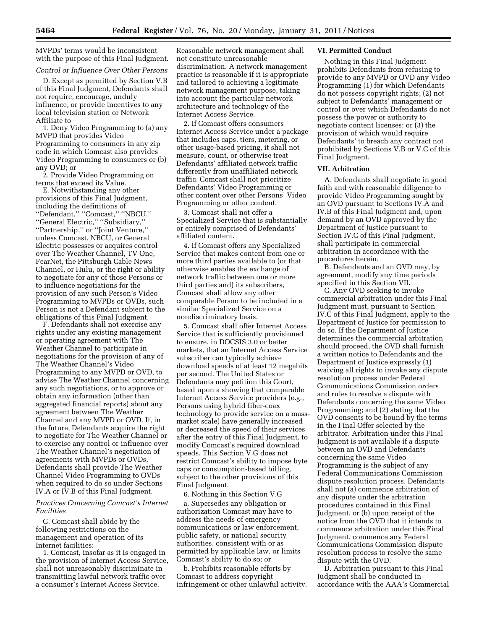MVPDs' terms would be inconsistent with the purpose of this Final Judgment.

#### *Control or Influence Over Other Persons*

D. Except as permitted by Section V.B of this Final Judgment, Defendants shall not require, encourage, unduly influence, or provide incentives to any local television station or Network Affiliate to

1. Deny Video Programming to (a) any MVPD that provides Video Programming to consumers in any zip code in which Comcast also provides Video Programming to consumers or (b) any OVD; or

2. Provide Video Programming on terms that exceed its Value.

E. Notwithstanding any other provisions of this Final Judgment, including the definitions of ''Defendant,'' ''Comcast,'' ''NBCU,'' ''General Electric,'' ''Subsidiary,'' ''Partnership,'' or ''Joint Venture,'' unless Comcast, NBCU, or General Electric possesses or acquires control over The Weather Channel, TV One, FearNet, the Pittsburgh Cable News Channel, or Hulu, or the right or ability to negotiate for any of those Persons or to influence negotiations for the provision of any such Person's Video Programming to MVPDs or OVDs, such Person is not a Defendant subject to the obligations of this Final Judgment.

F. Defendants shall not exercise any rights under any existing management or operating agreement with The Weather Channel to participate in negotiations for the provision of any of The Weather Channel's Video Programming to any MVPD or OVD, to advise The Weather Channel concerning any such negotiations, or to approve or obtain any information (other than aggregated financial reports) about any agreement between The Weather Channel and any MVPD or OVD. If, in the future, Defendants acquire the right to negotiate for The Weather Channel or to exercise any control or influence over The Weather Channel's negotiation of agreements with MVPDs or OVDs, Defendants shall provide The Weather Channel Video Programming to OVDs when required to do so under Sections IV.A or IV.B of this Final Judgment.

#### *Practices Concerning Comcast's Internet Facilities*

G. Comcast shall abide by the following restrictions on the management and operation of its Internet facilities:

1. Comcast, insofar as it is engaged in the provision of Internet Access Service, shall not unreasonably discriminate in transmitting lawful network traffic over a consumer's Internet Access Service.

Reasonable network management shall not constitute unreasonable discrimination. A network management practice is reasonable if it is appropriate and tailored to achieving a legitimate network management purpose, taking into account the particular network architecture and technology of the Internet Access Service.

2. If Comcast offers consumers Internet Access Service under a package that includes caps, tiers, metering, or other usage-based pricing, it shall not measure, count, or otherwise treat Defendants' affiliated network traffic differently from unaffiliated network traffic. Comcast shall not prioritize Defendants' Video Programming or other content over other Persons' Video Programming or other content.

3. Comcast shall not offer a Specialized Service that is substantially or entirely comprised of Defendants' affiliated content.

4. If Comcast offers any Specialized Service that makes content from one or more third parties available to (or that otherwise enables the exchange of network traffic between one or more third parties and) its subscribers, Comcast shall allow any other comparable Person to be included in a similar Specialized Service on a nondiscriminatory basis.

5. Comcast shall offer Internet Access Service that is sufficiently provisioned to ensure, in DOCSIS 3.0 or better markets, that an Internet Access Service subscriber can typically achieve download speeds of at least 12 megabits per second. The United States or Defendants may petition this Court, based upon a showing that comparable Internet Access Service providers (e.g., Persons using hybrid fiber-coax technology to provide service on a massmarket scale) have generally increased or decreased the speed of their services after the entry of this Final Judgment, to modify Comcast's required download speeds. This Section V.G does not restrict Comcast's ability to impose byte caps or consumption-based billing, subject to the other provisions of this Final Judgment.

6. Nothing in this Section V.G

a. Supersedes any obligation or authorization Comcast may have to address the needs of emergency communications or law enforcement, public safety, or national security authorities, consistent with or as permitted by applicable law, or limits Comcast's ability to do so; or

b. Prohibits reasonable efforts by Comcast to address copyright infringement or other unlawful activity.

#### **VI. Permitted Conduct**

Nothing in this Final Judgment prohibits Defendants from refusing to provide to any MVPD or OVD any Video Programming (1) for which Defendants do not possess copyright rights; (2) not subject to Defendants' management or control or over which Defendants do not possess the power or authority to negotiate content licenses; or (3) the provision of which would require Defendants' to breach any contract not prohibited by Sections V.B or V.C of this Final Judgment.

#### **VII. Arbitration**

A. Defendants shall negotiate in good faith and with reasonable diligence to provide Video Programming sought by an OVD pursuant to Sections IV.A and IV.B of this Final Judgment and, upon demand by an OVD approved by the Department of Justice pursuant to Section IV.C of this Final Judgment, shall participate in commercial arbitration in accordance with the procedures herein.

B. Defendants and an OVD may, by agreement, modify any time periods specified in this Section VII.

C. Any OVD seeking to invoke commercial arbitration under this Final Judgment must, pursuant to Section IV.C of this Final Judgment, apply to the Department of Justice for permission to do so. If the Department of Justice determines the commercial arbitration should proceed, the OVD shall furnish a written notice to Defendants and the Department of Justice expressly (1) waiving all rights to invoke any dispute resolution process under Federal Communications Commission orders and rules to resolve a dispute with Defendants concerning the same Video Programming; and (2) stating that the OVD consents to be bound by the terms in the Final Offer selected by the arbitrator. Arbitration under this Final Judgment is not available if a dispute between an OVD and Defendants concerning the same Video Programming is the subject of any Federal Communications Commission dispute resolution process. Defendants shall not (a) commence arbitration of any dispute under the arbitration procedures contained in this Final Judgment, or (b) upon receipt of the notice from the OVD that it intends to commence arbitration under this Final Judgment, commence any Federal Communications Commission dispute resolution process to resolve the same dispute with the OVD.

D. Arbitration pursuant to this Final Judgment shall be conducted in accordance with the AAA's Commercial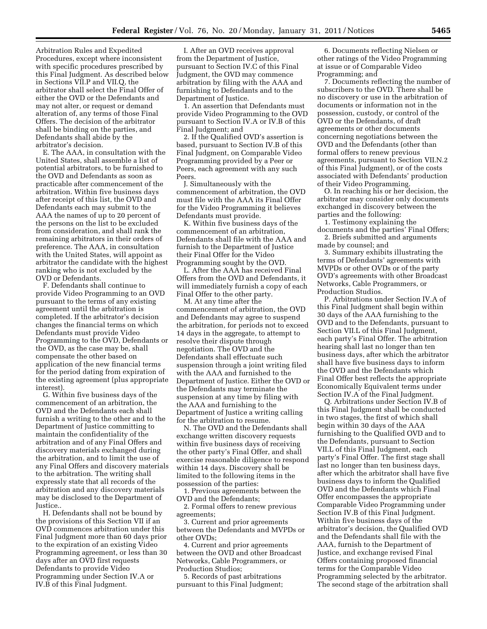Arbitration Rules and Expedited Procedures, except where inconsistent with specific procedures prescribed by this Final Judgment. As described below in Sections VII.P and VII.Q, the arbitrator shall select the Final Offer of either the OVD or the Defendants and may not alter, or request or demand alteration of, any terms of those Final Offers. The decision of the arbitrator shall be binding on the parties, and Defendants shall abide by the arbitrator's decision.

E. The AAA, in consultation with the United States, shall assemble a list of potential arbitrators, to be furnished to the OVD and Defendants as soon as practicable after commencement of the arbitration. Within five business days after receipt of this list, the OVD and Defendants each may submit to the AAA the names of up to 20 percent of the persons on the list to be excluded from consideration, and shall rank the remaining arbitrators in their orders of preference. The AAA, in consultation with the United States, will appoint as arbitrator the candidate with the highest ranking who is not excluded by the OVD or Defendants.

F. Defendants shall continue to provide Video Programming to an OVD pursuant to the terms of any existing agreement until the arbitration is completed. If the arbitrator's decision changes the financial terms on which Defendants must provide Video Programming to the OVD, Defendants or the OVD, as the case may be, shall compensate the other based on application of the new financial terms for the period dating from expiration of the existing agreement (plus appropriate interest).

G. Within five business days of the commencement of an arbitration, the OVD and the Defendants each shall furnish a writing to the other and to the Department of Justice committing to maintain the confidentiality of the arbitration and of any Final Offers and discovery materials exchanged during the arbitration, and to limit the use of any Final Offers and discovery materials to the arbitration. The writing shall expressly state that all records of the arbitration and any discovery materials may be disclosed to the Department of Justice..

H. Defendants shall not be bound by the provisions of this Section VII if an OVD commences arbitration under this Final Judgment more than 60 days prior to the expiration of an existing Video Programming agreement, or less than 30 days after an OVD first requests Defendants to provide Video Programming under Section IV.A or IV.B of this Final Judgment.

I. After an OVD receives approval from the Department of Justice, pursuant to Section IV.C of this Final Judgment, the OVD may commence arbitration by filing with the AAA and furnishing to Defendants and to the Department of Justice.

1. An assertion that Defendants must provide Video Programming to the OVD pursuant to Section IV.A or IV.B of this Final Judgment; and

2. If the Qualified OVD's assertion is based, pursuant to Section IV.B of this Final Judgment, on Comparable Video Programming provided by a Peer or Peers, each agreement with any such Peers.

J. Simultaneously with the commencement of arbitration, the OVD must file with the AAA its Final Offer for the Video Programming it believes Defendants must provide.

K. Within five business days of the commencement of an arbitration, Defendants shall file with the AAA and furnish to the Department of Justice their Final Offer for the Video Programming sought by the OVD.

L. After the AAA has received Final Offers from the OVD and Defendants, it will immediately furnish a copy of each Final Offer to the other party.

M. At any time after the commencement of arbitration, the OVD and Defendants may agree to suspend the arbitration, for periods not to exceed 14 days in the aggregate, to attempt to resolve their dispute through negotiation. The OVD and the Defendants shall effectuate such suspension through a joint writing filed with the AAA and furnished to the Department of Justice. Either the OVD or the Defendants may terminate the suspension at any time by filing with the AAA and furnishing to the Department of Justice a writing calling for the arbitration to resume.

N. The OVD and the Defendants shall exchange written discovery requests within five business days of receiving the other party's Final Offer, and shall exercise reasonable diligence to respond within 14 days. Discovery shall be limited to the following items in the possession of the parties:

1. Previous agreements between the OVD and the Defendants;

2. Formal offers to renew previous agreements;

3. Current and prior agreements between the Defendants and MVPDs or other OVDs;

4. Current and prior agreements between the OVD and other Broadcast Networks, Cable Programmers, or Production Studios;

5. Records of past arbitrations pursuant to this Final Judgment;

6. Documents reflecting Nielsen or other ratings of the Video Programming at issue or of Comparable Video Programming; and

7. Documents reflecting the number of subscribers to the OVD. There shall be no discovery or use in the arbitration of documents or information not in the possession, custody, or control of the OVD or the Defendants, of draft agreements or other documents concerning negotiations between the OVD and the Defendants (other than formal offers to renew previous agreements, pursuant to Section VII.N.2 of this Final Judgment), or of the costs associated with Defendants' production of their Video Programming.

O. In reaching his or her decision, the arbitrator may consider only documents exchanged in discovery between the parties and the following:

1. Testimony explaining the documents and the parties' Final Offers;

2. Briefs submitted and arguments made by counsel; and

3. Summary exhibits illustrating the terms of Defendants' agreements with MVPDs or other OVDs or of the party OVD's agreements with other Broadcast Networks, Cable Programmers, or Production Studios.

P. Arbitrations under Section IV.A of this Final Judgment shall begin within 30 days of the AAA furnishing to the OVD and to the Defendants, pursuant to Section VII.L of this Final Judgment, each party's Final Offer. The arbitration hearing shall last no longer than ten business days, after which the arbitrator shall have five business days to inform the OVD and the Defendants which Final Offer best reflects the appropriate Economically Equivalent terms under Section IV.A of the Final Judgment.

Q. Arbitrations under Section IV.B of this Final Judgment shall be conducted in two stages, the first of which shall begin within 30 days of the AAA furnishing to the Qualified OVD and to the Defendants, pursuant to Section VII.L of this Final Judgment, each party's Final Offer. The first stage shall last no longer than ten business days, after which the arbitrator shall have five business days to inform the Qualified OVD and the Defendants which Final Offer encompasses the appropriate Comparable Video Programming under Section IV.B of this Final Judgment. Within five business days of the arbitrator's decision, the Qualified OVD and the Defendants shall file with the AAA, furnish to the Department of Justice, and exchange revised Final Offers containing proposed financial terms for the Comparable Video Programming selected by the arbitrator. The second stage of the arbitration shall